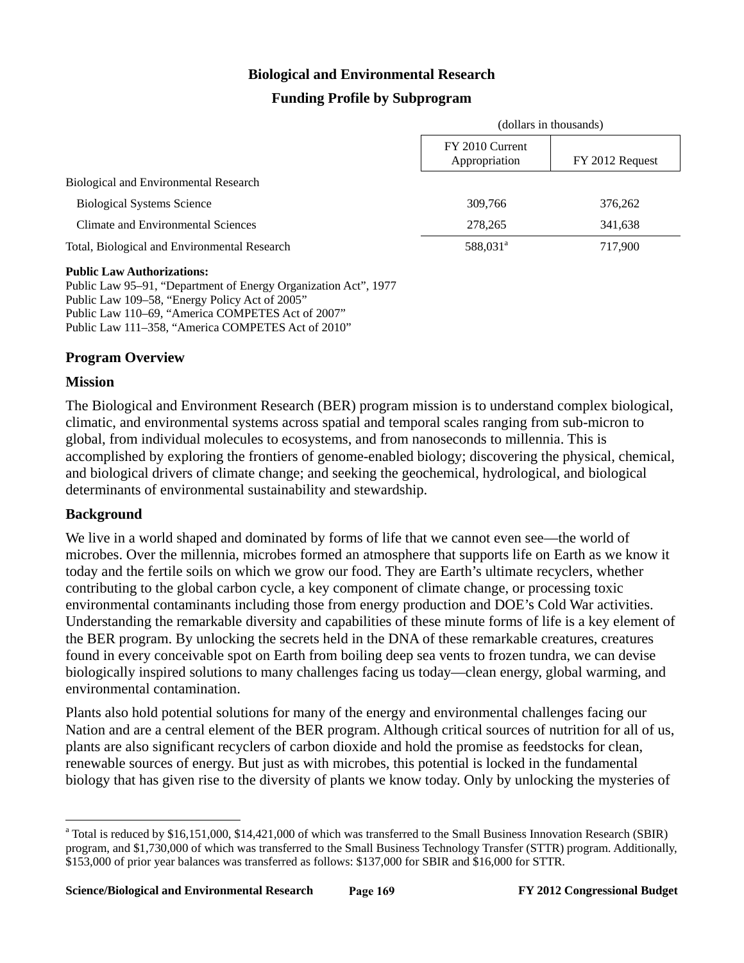# **Biological and Environmental Research**

# **Funding Profile by Subprogram**

|                                              | (dollars in thousands)           |                 |
|----------------------------------------------|----------------------------------|-----------------|
|                                              | FY 2010 Current<br>Appropriation | FY 2012 Request |
| Biological and Environmental Research        |                                  |                 |
| <b>Biological Systems Science</b>            | 309,766                          | 376,262         |
| Climate and Environmental Sciences           | 278.265                          | 341,638         |
| Total, Biological and Environmental Research | 588,031 <sup>a</sup>             | 717,900         |
|                                              |                                  |                 |

#### **Public Law Authorizations:**

Public Law 95–91, "Department of Energy Organization Act", 1977 Public Law 109–58, "Energy Policy Act of 2005" Public Law 110–69, "America COMPETES Act of 2007" Public Law 111–358, "America COMPETES Act of 2010"

#### **Program Overview**

#### **Mission**

The Biological and Environment Research (BER) program mission is to understand complex biological, climatic, and environmental systems across spatial and temporal scales ranging from sub-micron to global, from individual molecules to ecosystems, and from nanoseconds to millennia. This is accomplished by exploring the frontiers of genome-enabled biology; discovering the physical, chemical, and biological drivers of climate change; and seeking the geochemical, hydrological, and biological determinants of environmental sustainability and stewardship.

#### **Background**

 $\overline{a}$ 

We live in a world shaped and dominated by forms of life that we cannot even see—the world of microbes. Over the millennia, microbes formed an atmosphere that supports life on Earth as we know it today and the fertile soils on which we grow our food. They are Earth's ultimate recyclers, whether contributing to the global carbon cycle, a key component of climate change, or processing toxic environmental contaminants including those from energy production and DOE's Cold War activities. Understanding the remarkable diversity and capabilities of these minute forms of life is a key element of the BER program. By unlocking the secrets held in the DNA of these remarkable creatures, creatures found in every conceivable spot on Earth from boiling deep sea vents to frozen tundra, we can devise biologically inspired solutions to many challenges facing us today—clean energy, global warming, and environmental contamination.

Plants also hold potential solutions for many of the energy and environmental challenges facing our Nation and are a central element of the BER program. Although critical sources of nutrition for all of us, plants are also significant recyclers of carbon dioxide and hold the promise as feedstocks for clean, renewable sources of energy. But just as with microbes, this potential is locked in the fundamental biology that has given rise to the diversity of plants we know today. Only by unlocking the mysteries of

<sup>&</sup>lt;sup>a</sup> Total is reduced by \$16,151,000, \$14,421,000 of which was transferred to the Small Business Innovation Research (SBIR) program, and \$1,730,000 of which was transferred to the Small Business Technology Transfer (STTR) program. Additionally, \$153,000 of prior year balances was transferred as follows: \$137,000 for SBIR and \$16,000 for STTR.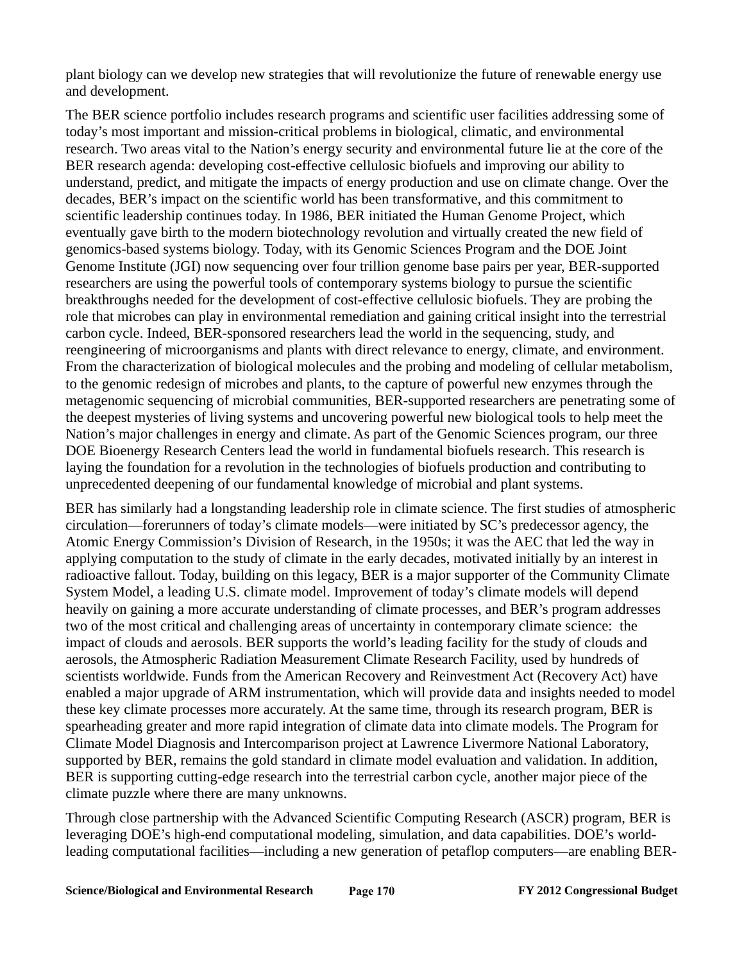plant biology can we develop new strategies that will revolutionize the future of renewable energy use and development.

The BER science portfolio includes research programs and scientific user facilities addressing some of today's most important and mission-critical problems in biological, climatic, and environmental research. Two areas vital to the Nation's energy security and environmental future lie at the core of the BER research agenda: developing cost-effective cellulosic biofuels and improving our ability to understand, predict, and mitigate the impacts of energy production and use on climate change. Over the decades, BER's impact on the scientific world has been transformative, and this commitment to scientific leadership continues today. In 1986, BER initiated the Human Genome Project, which eventually gave birth to the modern biotechnology revolution and virtually created the new field of genomics-based systems biology. Today, with its Genomic Sciences Program and the DOE Joint Genome Institute (JGI) now sequencing over four trillion genome base pairs per year, BER-supported researchers are using the powerful tools of contemporary systems biology to pursue the scientific breakthroughs needed for the development of cost-effective cellulosic biofuels. They are probing the role that microbes can play in environmental remediation and gaining critical insight into the terrestrial carbon cycle. Indeed, BER-sponsored researchers lead the world in the sequencing, study, and reengineering of microorganisms and plants with direct relevance to energy, climate, and environment. From the characterization of biological molecules and the probing and modeling of cellular metabolism, to the genomic redesign of microbes and plants, to the capture of powerful new enzymes through the metagenomic sequencing of microbial communities, BER-supported researchers are penetrating some of the deepest mysteries of living systems and uncovering powerful new biological tools to help meet the Nation's major challenges in energy and climate. As part of the Genomic Sciences program, our three DOE Bioenergy Research Centers lead the world in fundamental biofuels research. This research is laying the foundation for a revolution in the technologies of biofuels production and contributing to unprecedented deepening of our fundamental knowledge of microbial and plant systems.

BER has similarly had a longstanding leadership role in climate science. The first studies of atmospheric circulation—forerunners of today's climate models—were initiated by SC's predecessor agency, the Atomic Energy Commission's Division of Research, in the 1950s; it was the AEC that led the way in applying computation to the study of climate in the early decades, motivated initially by an interest in radioactive fallout. Today, building on this legacy, BER is a major supporter of the Community Climate System Model, a leading U.S. climate model. Improvement of today's climate models will depend heavily on gaining a more accurate understanding of climate processes, and BER's program addresses two of the most critical and challenging areas of uncertainty in contemporary climate science: the impact of clouds and aerosols. BER supports the world's leading facility for the study of clouds and aerosols, the Atmospheric Radiation Measurement Climate Research Facility, used by hundreds of scientists worldwide. Funds from the American Recovery and Reinvestment Act (Recovery Act) have enabled a major upgrade of ARM instrumentation, which will provide data and insights needed to model these key climate processes more accurately. At the same time, through its research program, BER is spearheading greater and more rapid integration of climate data into climate models. The Program for Climate Model Diagnosis and Intercomparison project at Lawrence Livermore National Laboratory, supported by BER, remains the gold standard in climate model evaluation and validation. In addition, BER is supporting cutting-edge research into the terrestrial carbon cycle, another major piece of the climate puzzle where there are many unknowns.

Through close partnership with the Advanced Scientific Computing Research (ASCR) program, BER is leveraging DOE's high-end computational modeling, simulation, and data capabilities. DOE's worldleading computational facilities—including a new generation of petaflop computers—are enabling BER-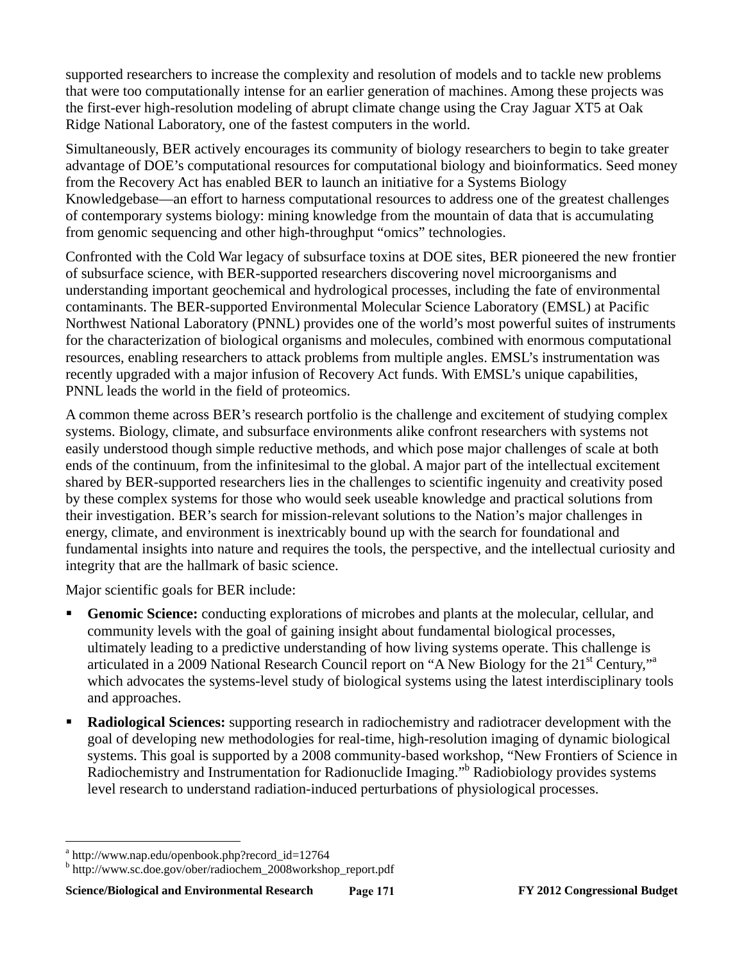supported researchers to increase the complexity and resolution of models and to tackle new problems that were too computationally intense for an earlier generation of machines. Among these projects was the first-ever high-resolution modeling of abrupt climate change using the Cray Jaguar XT5 at Oak Ridge National Laboratory, one of the fastest computers in the world.

Simultaneously, BER actively encourages its community of biology researchers to begin to take greater advantage of DOE's computational resources for computational biology and bioinformatics. Seed money from the Recovery Act has enabled BER to launch an initiative for a Systems Biology Knowledgebase—an effort to harness computational resources to address one of the greatest challenges of contemporary systems biology: mining knowledge from the mountain of data that is accumulating from genomic sequencing and other high-throughput "omics" technologies.

Confronted with the Cold War legacy of subsurface toxins at DOE sites, BER pioneered the new frontier of subsurface science, with BER-supported researchers discovering novel microorganisms and understanding important geochemical and hydrological processes, including the fate of environmental contaminants. The BER-supported Environmental Molecular Science Laboratory (EMSL) at Pacific Northwest National Laboratory (PNNL) provides one of the world's most powerful suites of instruments for the characterization of biological organisms and molecules, combined with enormous computational resources, enabling researchers to attack problems from multiple angles. EMSL's instrumentation was recently upgraded with a major infusion of Recovery Act funds. With EMSL's unique capabilities, PNNL leads the world in the field of proteomics.

A common theme across BER's research portfolio is the challenge and excitement of studying complex systems. Biology, climate, and subsurface environments alike confront researchers with systems not easily understood though simple reductive methods, and which pose major challenges of scale at both ends of the continuum, from the infinitesimal to the global. A major part of the intellectual excitement shared by BER-supported researchers lies in the challenges to scientific ingenuity and creativity posed by these complex systems for those who would seek useable knowledge and practical solutions from their investigation. BER's search for mission-relevant solutions to the Nation's major challenges in energy, climate, and environment is inextricably bound up with the search for foundational and fundamental insights into nature and requires the tools, the perspective, and the intellectual curiosity and integrity that are the hallmark of basic science.

Major scientific goals for BER include:

- **Genomic Science:** conducting explorations of microbes and plants at the molecular, cellular, and community levels with the goal of gaining insight about fundamental biological processes, ultimately leading to a predictive understanding of how living systems operate. This challenge is articulated in a 2009 National Research Council report on "A New Biology for the 21<sup>st</sup> Century,"<sup>a</sup> which advocates the systems-level study of biological systems using the latest interdisciplinary tools and approaches.
- **Radiological Sciences:** supporting research in radiochemistry and radiotracer development with the goal of developing new methodologies for real-time, high-resolution imaging of dynamic biological systems. This goal is supported by a 2008 community-based workshop, "New Frontiers of Science in Radiochemistry and Instrumentation for Radionuclide Imaging." Radiobiology provides systems level research to understand radiation-induced perturbations of physiological processes.

1

a http://www.nap.edu/openbook.php?record\_id=12764

b http://www.sc.doe.gov/ober/radiochem\_2008workshop\_report.pdf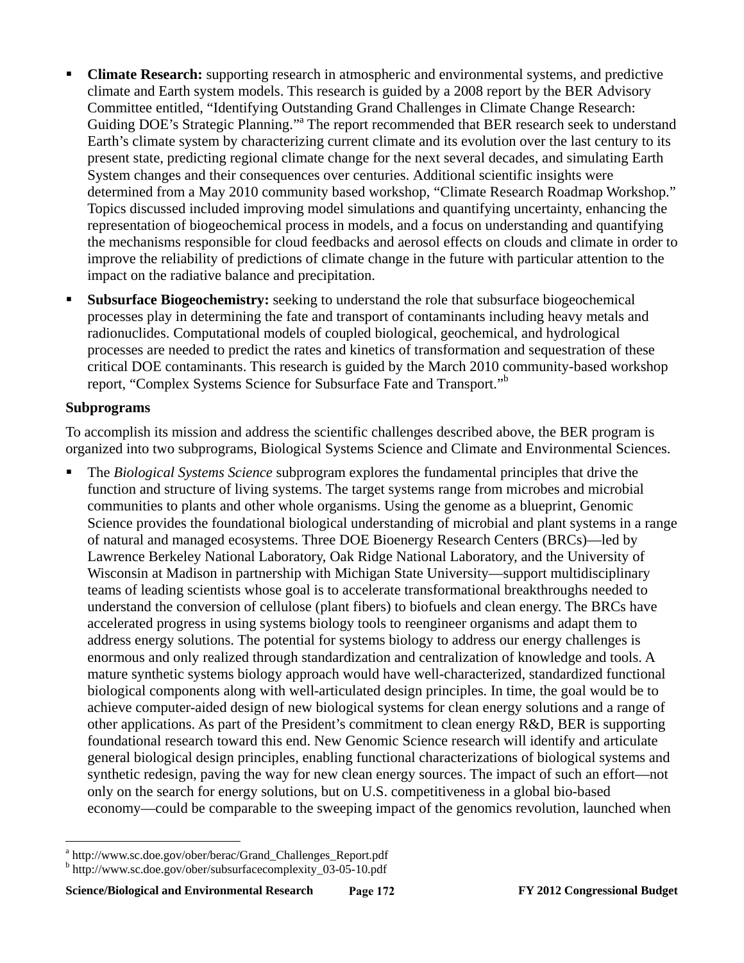- **Climate Research:** supporting research in atmospheric and environmental systems, and predictive climate and Earth system models. This research is guided by a 2008 report by the BER Advisory Committee entitled, "Identifying Outstanding Grand Challenges in Climate Change Research: Guiding DOE's Strategic Planning."<sup>a</sup> The report recommended that BER research seek to understand Earth's climate system by characterizing current climate and its evolution over the last century to its present state, predicting regional climate change for the next several decades, and simulating Earth System changes and their consequences over centuries. Additional scientific insights were determined from a May 2010 community based workshop, "Climate Research Roadmap Workshop." Topics discussed included improving model simulations and quantifying uncertainty, enhancing the representation of biogeochemical process in models, and a focus on understanding and quantifying the mechanisms responsible for cloud feedbacks and aerosol effects on clouds and climate in order to improve the reliability of predictions of climate change in the future with particular attention to the impact on the radiative balance and precipitation.
- **Subsurface Biogeochemistry:** seeking to understand the role that subsurface biogeochemical processes play in determining the fate and transport of contaminants including heavy metals and radionuclides. Computational models of coupled biological, geochemical, and hydrological processes are needed to predict the rates and kinetics of transformation and sequestration of these critical DOE contaminants. This research is guided by the March 2010 community-based workshop report, "Complex Systems Science for Subsurface Fate and Transport."b

#### **Subprograms**

 $\overline{a}$ 

To accomplish its mission and address the scientific challenges described above, the BER program is organized into two subprograms, Biological Systems Science and Climate and Environmental Sciences.

 The *Biological Systems Science* subprogram explores the fundamental principles that drive the function and structure of living systems. The target systems range from microbes and microbial communities to plants and other whole organisms. Using the genome as a blueprint, Genomic Science provides the foundational biological understanding of microbial and plant systems in a range of natural and managed ecosystems. Three DOE Bioenergy Research Centers (BRCs)—led by Lawrence Berkeley National Laboratory, Oak Ridge National Laboratory, and the University of Wisconsin at Madison in partnership with Michigan State University—support multidisciplinary teams of leading scientists whose goal is to accelerate transformational breakthroughs needed to understand the conversion of cellulose (plant fibers) to biofuels and clean energy. The BRCs have accelerated progress in using systems biology tools to reengineer organisms and adapt them to address energy solutions. The potential for systems biology to address our energy challenges is enormous and only realized through standardization and centralization of knowledge and tools. A mature synthetic systems biology approach would have well-characterized, standardized functional biological components along with well-articulated design principles. In time, the goal would be to achieve computer-aided design of new biological systems for clean energy solutions and a range of other applications. As part of the President's commitment to clean energy R&D, BER is supporting foundational research toward this end. New Genomic Science research will identify and articulate general biological design principles, enabling functional characterizations of biological systems and synthetic redesign, paving the way for new clean energy sources. The impact of such an effort—not only on the search for energy solutions, but on U.S. competitiveness in a global bio-based economy—could be comparable to the sweeping impact of the genomics revolution, launched when

<sup>&</sup>lt;sup>a</sup> http://www.sc.doe.gov/ober/berac/Grand\_Challenges\_Report.pdf<br><sup>b</sup> http://www.sc.doe.gov/ober/subsurfacecomplexity, 03,05,10.pdf

http://www.sc.doe.gov/ober/subsurfacecomplexity\_03-05-10.pdf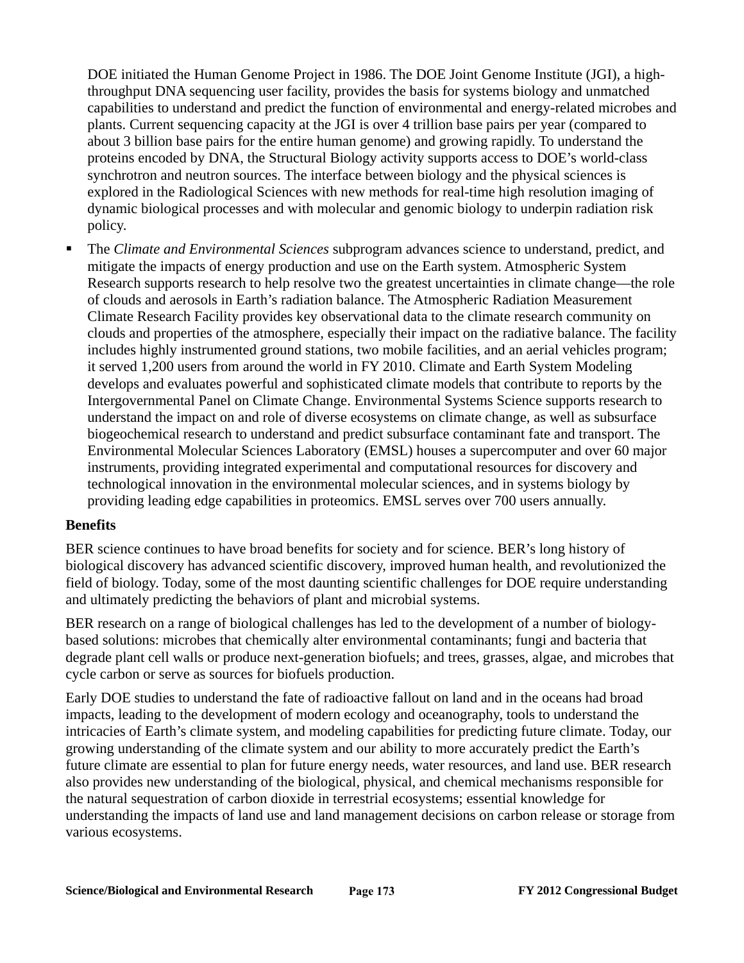DOE initiated the Human Genome Project in 1986. The DOE Joint Genome Institute (JGI), a highthroughput DNA sequencing user facility, provides the basis for systems biology and unmatched capabilities to understand and predict the function of environmental and energy-related microbes and plants. Current sequencing capacity at the JGI is over 4 trillion base pairs per year (compared to about 3 billion base pairs for the entire human genome) and growing rapidly. To understand the proteins encoded by DNA, the Structural Biology activity supports access to DOE's world-class synchrotron and neutron sources. The interface between biology and the physical sciences is explored in the Radiological Sciences with new methods for real-time high resolution imaging of dynamic biological processes and with molecular and genomic biology to underpin radiation risk policy.

 The *Climate and Environmental Sciences* subprogram advances science to understand, predict, and mitigate the impacts of energy production and use on the Earth system. Atmospheric System Research supports research to help resolve two the greatest uncertainties in climate change—the role of clouds and aerosols in Earth's radiation balance. The Atmospheric Radiation Measurement Climate Research Facility provides key observational data to the climate research community on clouds and properties of the atmosphere, especially their impact on the radiative balance. The facility includes highly instrumented ground stations, two mobile facilities, and an aerial vehicles program; it served 1,200 users from around the world in FY 2010. Climate and Earth System Modeling develops and evaluates powerful and sophisticated climate models that contribute to reports by the Intergovernmental Panel on Climate Change. Environmental Systems Science supports research to understand the impact on and role of diverse ecosystems on climate change, as well as subsurface biogeochemical research to understand and predict subsurface contaminant fate and transport. The Environmental Molecular Sciences Laboratory (EMSL) houses a supercomputer and over 60 major instruments, providing integrated experimental and computational resources for discovery and technological innovation in the environmental molecular sciences, and in systems biology by providing leading edge capabilities in proteomics. EMSL serves over 700 users annually.

#### **Benefits**

BER science continues to have broad benefits for society and for science. BER's long history of biological discovery has advanced scientific discovery, improved human health, and revolutionized the field of biology. Today, some of the most daunting scientific challenges for DOE require understanding and ultimately predicting the behaviors of plant and microbial systems.

BER research on a range of biological challenges has led to the development of a number of biologybased solutions: microbes that chemically alter environmental contaminants; fungi and bacteria that degrade plant cell walls or produce next-generation biofuels; and trees, grasses, algae, and microbes that cycle carbon or serve as sources for biofuels production.

Early DOE studies to understand the fate of radioactive fallout on land and in the oceans had broad impacts, leading to the development of modern ecology and oceanography, tools to understand the intricacies of Earth's climate system, and modeling capabilities for predicting future climate. Today, our growing understanding of the climate system and our ability to more accurately predict the Earth's future climate are essential to plan for future energy needs, water resources, and land use. BER research also provides new understanding of the biological, physical, and chemical mechanisms responsible for the natural sequestration of carbon dioxide in terrestrial ecosystems; essential knowledge for understanding the impacts of land use and land management decisions on carbon release or storage from various ecosystems.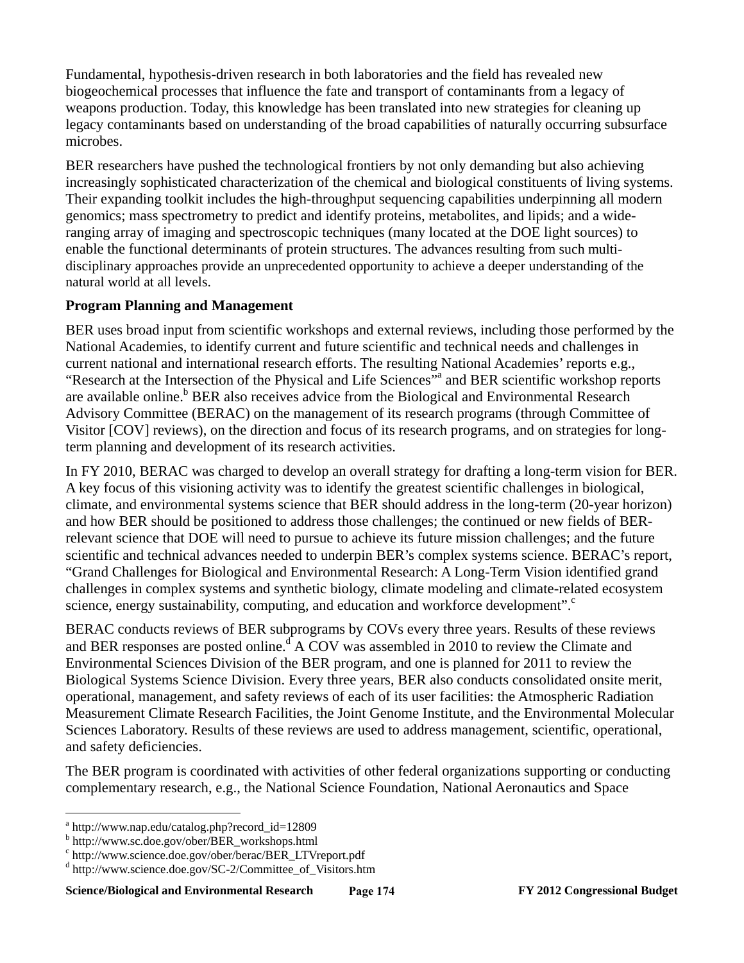Fundamental, hypothesis-driven research in both laboratories and the field has revealed new biogeochemical processes that influence the fate and transport of contaminants from a legacy of weapons production. Today, this knowledge has been translated into new strategies for cleaning up legacy contaminants based on understanding of the broad capabilities of naturally occurring subsurface microbes.

BER researchers have pushed the technological frontiers by not only demanding but also achieving increasingly sophisticated characterization of the chemical and biological constituents of living systems. Their expanding toolkit includes the high-throughput sequencing capabilities underpinning all modern genomics; mass spectrometry to predict and identify proteins, metabolites, and lipids; and a wideranging array of imaging and spectroscopic techniques (many located at the DOE light sources) to enable the functional determinants of protein structures. The advances resulting from such multidisciplinary approaches provide an unprecedented opportunity to achieve a deeper understanding of the natural world at all levels.

### **Program Planning and Management**

BER uses broad input from scientific workshops and external reviews, including those performed by the National Academies, to identify current and future scientific and technical needs and challenges in current national and international research efforts. The resulting National Academies' reports e.g., "Research at the Intersection of the Physical and Life Sciences"<sup>a</sup> and BER scientific workshop reports are available online.<sup>b</sup> BER also receives advice from the Biological and Environmental Research Advisory Committee (BERAC) on the management of its research programs (through Committee of Visitor [COV] reviews), on the direction and focus of its research programs, and on strategies for longterm planning and development of its research activities.

In FY 2010, BERAC was charged to develop an overall strategy for drafting a long-term vision for BER. A key focus of this visioning activity was to identify the greatest scientific challenges in biological, climate, and environmental systems science that BER should address in the long-term (20-year horizon) and how BER should be positioned to address those challenges; the continued or new fields of BERrelevant science that DOE will need to pursue to achieve its future mission challenges; and the future scientific and technical advances needed to underpin BER's complex systems science. BERAC's report, "Grand Challenges for Biological and Environmental Research: A Long-Term Vision identified grand challenges in complex systems and synthetic biology, climate modeling and climate-related ecosystem science, energy sustainability, computing, and education and workforce development".<sup>c</sup>

BERAC conducts reviews of BER subprograms by COVs every three years. Results of these reviews and BER responses are posted online.<sup>d'</sup> A COV was assembled in 2010 to review the Climate and Environmental Sciences Division of the BER program, and one is planned for 2011 to review the Biological Systems Science Division. Every three years, BER also conducts consolidated onsite merit, operational, management, and safety reviews of each of its user facilities: the Atmospheric Radiation Measurement Climate Research Facilities, the Joint Genome Institute, and the Environmental Molecular Sciences Laboratory. Results of these reviews are used to address management, scientific, operational, and safety deficiencies.

The BER program is coordinated with activities of other federal organizations supporting or conducting complementary research, e.g., the National Science Foundation, National Aeronautics and Space

 $\overline{a}$ 

<sup>&</sup>lt;sup>a</sup> http://www.nap.edu/catalog.php?record\_id=12809

b http://www.sc.doe.gov/ober/BER\_workshops.html

c http://www.science.doe.gov/ober/berac/BER\_LTVreport.pdf

d http://www.science.doe.gov/SC-2/Committee\_of\_Visitors.htm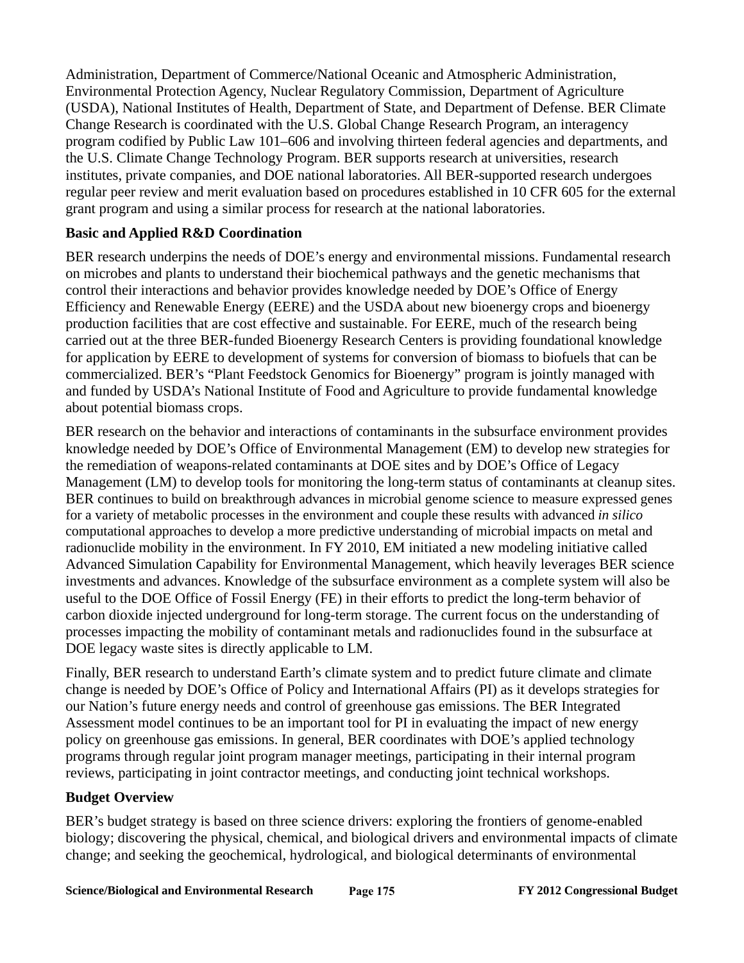Administration, Department of Commerce/National Oceanic and Atmospheric Administration, Environmental Protection Agency, Nuclear Regulatory Commission, Department of Agriculture (USDA), National Institutes of Health, Department of State, and Department of Defense. BER Climate Change Research is coordinated with the U.S. Global Change Research Program, an interagency program codified by Public Law 101–606 and involving thirteen federal agencies and departments, and the U.S. Climate Change Technology Program. BER supports research at universities, research institutes, private companies, and DOE national laboratories. All BER-supported research undergoes regular peer review and merit evaluation based on procedures established in 10 CFR 605 for the external grant program and using a similar process for research at the national laboratories.

### **Basic and Applied R&D Coordination**

BER research underpins the needs of DOE's energy and environmental missions. Fundamental research on microbes and plants to understand their biochemical pathways and the genetic mechanisms that control their interactions and behavior provides knowledge needed by DOE's Office of Energy Efficiency and Renewable Energy (EERE) and the USDA about new bioenergy crops and bioenergy production facilities that are cost effective and sustainable. For EERE, much of the research being carried out at the three BER-funded Bioenergy Research Centers is providing foundational knowledge for application by EERE to development of systems for conversion of biomass to biofuels that can be commercialized. BER's "Plant Feedstock Genomics for Bioenergy" program is jointly managed with and funded by USDA's National Institute of Food and Agriculture to provide fundamental knowledge about potential biomass crops.

BER research on the behavior and interactions of contaminants in the subsurface environment provides knowledge needed by DOE's Office of Environmental Management (EM) to develop new strategies for the remediation of weapons-related contaminants at DOE sites and by DOE's Office of Legacy Management (LM) to develop tools for monitoring the long-term status of contaminants at cleanup sites. BER continues to build on breakthrough advances in microbial genome science to measure expressed genes for a variety of metabolic processes in the environment and couple these results with advanced *in silico* computational approaches to develop a more predictive understanding of microbial impacts on metal and radionuclide mobility in the environment. In FY 2010, EM initiated a new modeling initiative called Advanced Simulation Capability for Environmental Management, which heavily leverages BER science investments and advances. Knowledge of the subsurface environment as a complete system will also be useful to the DOE Office of Fossil Energy (FE) in their efforts to predict the long-term behavior of carbon dioxide injected underground for long-term storage. The current focus on the understanding of processes impacting the mobility of contaminant metals and radionuclides found in the subsurface at DOE legacy waste sites is directly applicable to LM.

Finally, BER research to understand Earth's climate system and to predict future climate and climate change is needed by DOE's Office of Policy and International Affairs (PI) as it develops strategies for our Nation's future energy needs and control of greenhouse gas emissions. The BER Integrated Assessment model continues to be an important tool for PI in evaluating the impact of new energy policy on greenhouse gas emissions. In general, BER coordinates with DOE's applied technology programs through regular joint program manager meetings, participating in their internal program reviews, participating in joint contractor meetings, and conducting joint technical workshops.

### **Budget Overview**

BER's budget strategy is based on three science drivers: exploring the frontiers of genome-enabled biology; discovering the physical, chemical, and biological drivers and environmental impacts of climate change; and seeking the geochemical, hydrological, and biological determinants of environmental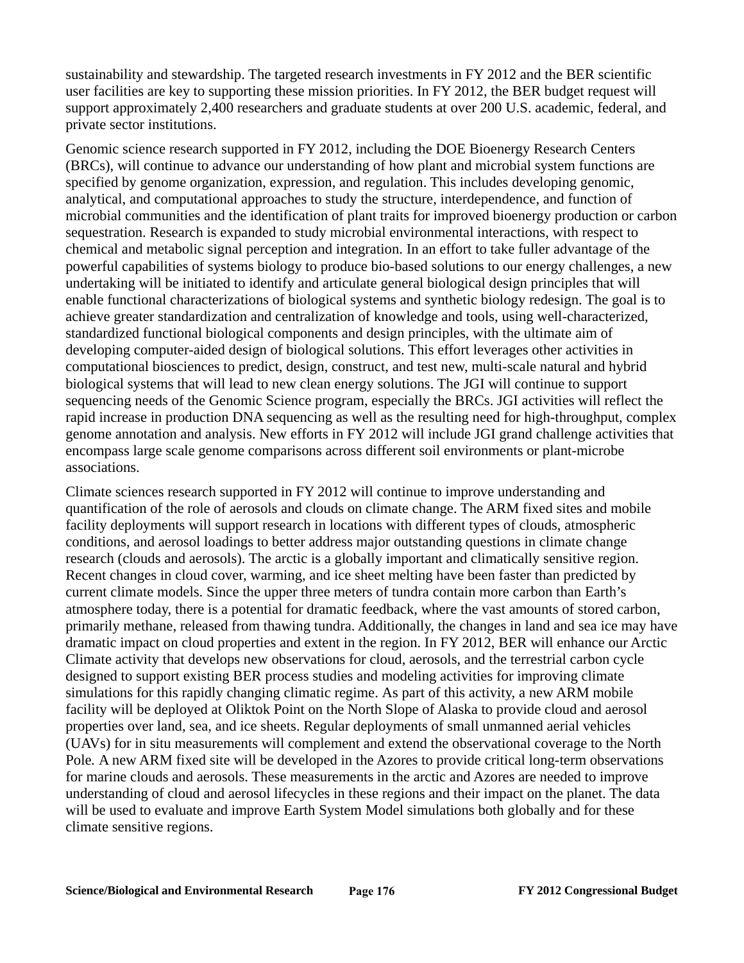sustainability and stewardship. The targeted research investments in FY 2012 and the BER scientific user facilities are key to supporting these mission priorities. In FY 2012, the BER budget request will support approximately 2,400 researchers and graduate students at over 200 U.S. academic, federal, and private sector institutions.

Genomic science research supported in FY 2012, including the DOE Bioenergy Research Centers (BRCs), will continue to advance our understanding of how plant and microbial system functions are specified by genome organization, expression, and regulation. This includes developing genomic, analytical, and computational approaches to study the structure, interdependence, and function of microbial communities and the identification of plant traits for improved bioenergy production or carbon sequestration. Research is expanded to study microbial environmental interactions, with respect to chemical and metabolic signal perception and integration. In an effort to take fuller advantage of the powerful capabilities of systems biology to produce bio-based solutions to our energy challenges, a new undertaking will be initiated to identify and articulate general biological design principles that will enable functional characterizations of biological systems and synthetic biology redesign. The goal is to achieve greater standardization and centralization of knowledge and tools, using well-characterized, standardized functional biological components and design principles, with the ultimate aim of developing computer-aided design of biological solutions. This effort leverages other activities in computational biosciences to predict, design, construct, and test new, multi-scale natural and hybrid biological systems that will lead to new clean energy solutions. The JGI will continue to support sequencing needs of the Genomic Science program, especially the BRCs. JGI activities will reflect the rapid increase in production DNA sequencing as well as the resulting need for high-throughput, complex genome annotation and analysis. New efforts in FY 2012 will include JGI grand challenge activities that encompass large scale genome comparisons across different soil environments or plant-microbe associations.

Climate sciences research supported in FY 2012 will continue to improve understanding and quantification of the role of aerosols and clouds on climate change. The ARM fixed sites and mobile facility deployments will support research in locations with different types of clouds, atmospheric conditions, and aerosol loadings to better address major outstanding questions in climate change research (clouds and aerosols). The arctic is a globally important and climatically sensitive region. Recent changes in cloud cover, warming, and ice sheet melting have been faster than predicted by current climate models. Since the upper three meters of tundra contain more carbon than Earth's atmosphere today, there is a potential for dramatic feedback, where the vast amounts of stored carbon, primarily methane, released from thawing tundra. Additionally, the changes in land and sea ice may have dramatic impact on cloud properties and extent in the region. In FY 2012, BER will enhance our Arctic Climate activity that develops new observations for cloud, aerosols, and the terrestrial carbon cycle designed to support existing BER process studies and modeling activities for improving climate simulations for this rapidly changing climatic regime. As part of this activity, a new ARM mobile facility will be deployed at Oliktok Point on the North Slope of Alaska to provide cloud and aerosol properties over land, sea, and ice sheets. Regular deployments of small unmanned aerial vehicles (UAVs) for in situ measurements will complement and extend the observational coverage to the North Pole*.* A new ARM fixed site will be developed in the Azores to provide critical long-term observations for marine clouds and aerosols. These measurements in the arctic and Azores are needed to improve understanding of cloud and aerosol lifecycles in these regions and their impact on the planet. The data will be used to evaluate and improve Earth System Model simulations both globally and for these climate sensitive regions.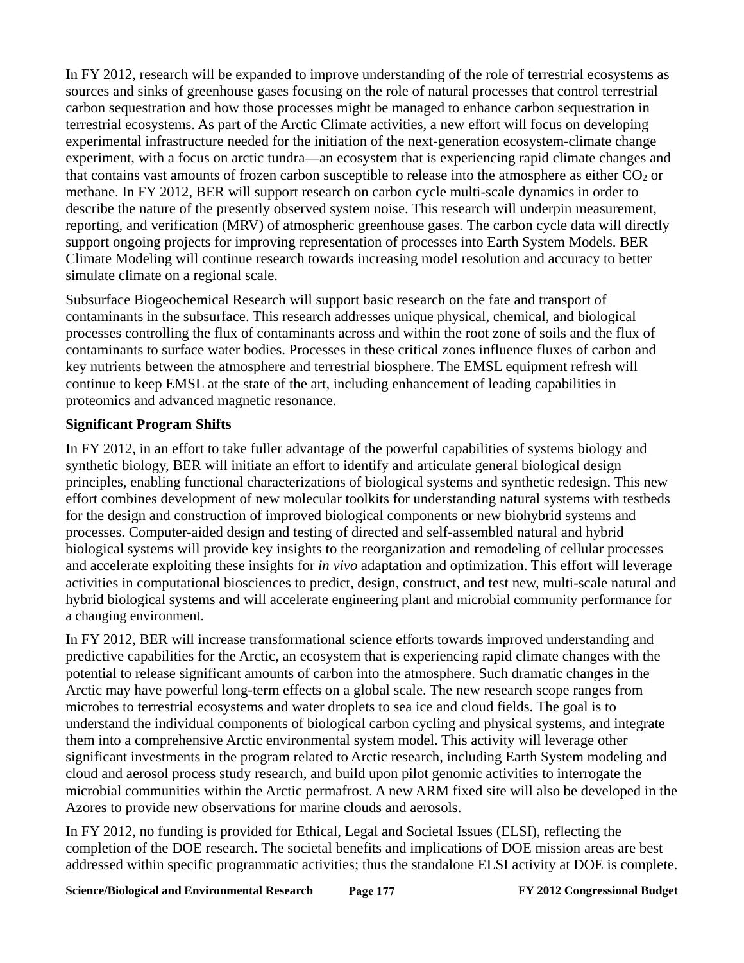In FY 2012, research will be expanded to improve understanding of the role of terrestrial ecosystems as sources and sinks of greenhouse gases focusing on the role of natural processes that control terrestrial carbon sequestration and how those processes might be managed to enhance carbon sequestration in terrestrial ecosystems. As part of the Arctic Climate activities, a new effort will focus on developing experimental infrastructure needed for the initiation of the next-generation ecosystem-climate change experiment, with a focus on arctic tundra—an ecosystem that is experiencing rapid climate changes and that contains vast amounts of frozen carbon susceptible to release into the atmosphere as either  $CO<sub>2</sub>$  or methane. In FY 2012, BER will support research on carbon cycle multi-scale dynamics in order to describe the nature of the presently observed system noise. This research will underpin measurement, reporting, and verification (MRV) of atmospheric greenhouse gases. The carbon cycle data will directly support ongoing projects for improving representation of processes into Earth System Models. BER Climate Modeling will continue research towards increasing model resolution and accuracy to better simulate climate on a regional scale.

Subsurface Biogeochemical Research will support basic research on the fate and transport of contaminants in the subsurface. This research addresses unique physical, chemical, and biological processes controlling the flux of contaminants across and within the root zone of soils and the flux of contaminants to surface water bodies. Processes in these critical zones influence fluxes of carbon and key nutrients between the atmosphere and terrestrial biosphere. The EMSL equipment refresh will continue to keep EMSL at the state of the art, including enhancement of leading capabilities in proteomics and advanced magnetic resonance.

# **Significant Program Shifts**

In FY 2012, in an effort to take fuller advantage of the powerful capabilities of systems biology and synthetic biology, BER will initiate an effort to identify and articulate general biological design principles, enabling functional characterizations of biological systems and synthetic redesign. This new effort combines development of new molecular toolkits for understanding natural systems with testbeds for the design and construction of improved biological components or new biohybrid systems and processes. Computer-aided design and testing of directed and self-assembled natural and hybrid biological systems will provide key insights to the reorganization and remodeling of cellular processes and accelerate exploiting these insights for *in vivo* adaptation and optimization. This effort will leverage activities in computational biosciences to predict, design, construct, and test new, multi-scale natural and hybrid biological systems and will accelerate engineering plant and microbial community performance for a changing environment.

In FY 2012, BER will increase transformational science efforts towards improved understanding and predictive capabilities for the Arctic, an ecosystem that is experiencing rapid climate changes with the potential to release significant amounts of carbon into the atmosphere. Such dramatic changes in the Arctic may have powerful long-term effects on a global scale. The new research scope ranges from microbes to terrestrial ecosystems and water droplets to sea ice and cloud fields. The goal is to understand the individual components of biological carbon cycling and physical systems, and integrate them into a comprehensive Arctic environmental system model. This activity will leverage other significant investments in the program related to Arctic research, including Earth System modeling and cloud and aerosol process study research, and build upon pilot genomic activities to interrogate the microbial communities within the Arctic permafrost. A new ARM fixed site will also be developed in the Azores to provide new observations for marine clouds and aerosols.

In FY 2012, no funding is provided for Ethical, Legal and Societal Issues (ELSI), reflecting the completion of the DOE research. The societal benefits and implications of DOE mission areas are best addressed within specific programmatic activities; thus the standalone ELSI activity at DOE is complete.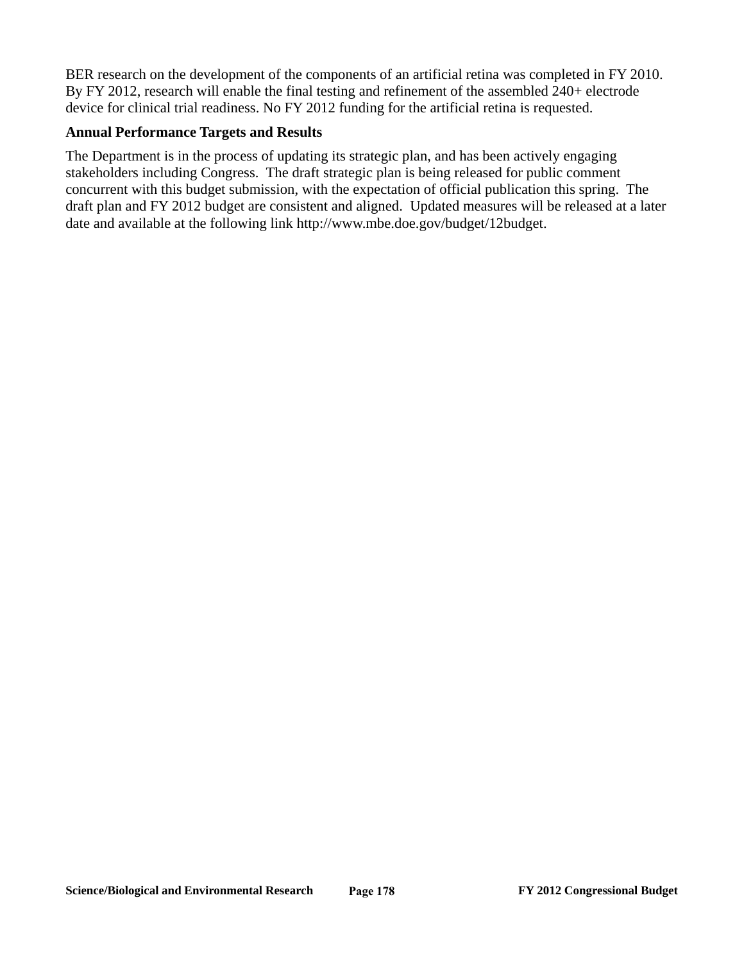BER research on the development of the components of an artificial retina was completed in FY 2010. By FY 2012, research will enable the final testing and refinement of the assembled 240+ electrode device for clinical trial readiness. No FY 2012 funding for the artificial retina is requested.

#### **Annual Performance Targets and Results**

The Department is in the process of updating its strategic plan, and has been actively engaging stakeholders including Congress. The draft strategic plan is being released for public comment concurrent with this budget submission, with the expectation of official publication this spring. The draft plan and FY 2012 budget are consistent and aligned. Updated measures will be released at a later date and available at the following link http://www.mbe.doe.gov/budget/12budget.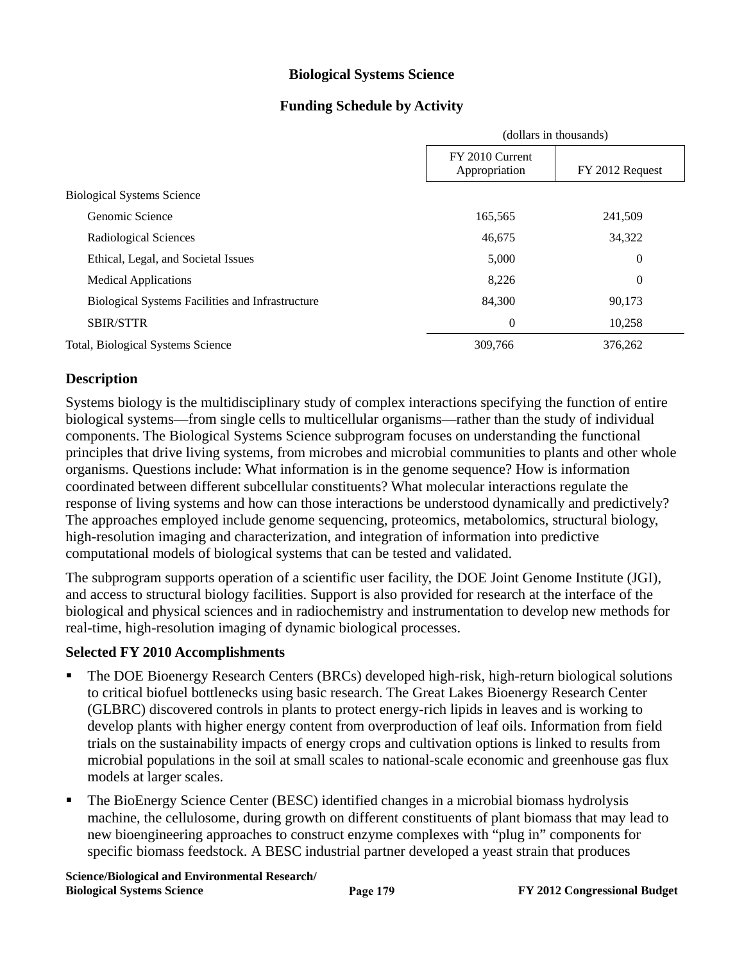### **Biological Systems Science**

### **Funding Schedule by Activity**

|                                                  | (dollars in thousands)           |                 |
|--------------------------------------------------|----------------------------------|-----------------|
|                                                  | FY 2010 Current<br>Appropriation | FY 2012 Request |
| <b>Biological Systems Science</b>                |                                  |                 |
| Genomic Science                                  | 165,565                          | 241,509         |
| Radiological Sciences                            | 46,675                           | 34,322          |
| Ethical, Legal, and Societal Issues              | 5,000                            | 0               |
| <b>Medical Applications</b>                      | 8,226                            | 0               |
| Biological Systems Facilities and Infrastructure | 84,300                           | 90,173          |
| <b>SBIR/STTR</b>                                 | $\boldsymbol{0}$                 | 10,258          |
| Total, Biological Systems Science                | 309,766                          | 376,262         |

### **Description**

Systems biology is the multidisciplinary study of complex interactions specifying the function of entire biological systems—from single cells to multicellular organisms—rather than the study of individual components. The Biological Systems Science subprogram focuses on understanding the functional principles that drive living systems, from microbes and microbial communities to plants and other whole organisms. Questions include: What information is in the genome sequence? How is information coordinated between different subcellular constituents? What molecular interactions regulate the response of living systems and how can those interactions be understood dynamically and predictively? The approaches employed include genome sequencing, proteomics, metabolomics, structural biology, high-resolution imaging and characterization, and integration of information into predictive computational models of biological systems that can be tested and validated.

The subprogram supports operation of a scientific user facility, the DOE Joint Genome Institute (JGI), and access to structural biology facilities. Support is also provided for research at the interface of the biological and physical sciences and in radiochemistry and instrumentation to develop new methods for real-time, high-resolution imaging of dynamic biological processes.

#### **Selected FY 2010 Accomplishments**

- The DOE Bioenergy Research Centers (BRCs) developed high-risk, high-return biological solutions to critical biofuel bottlenecks using basic research. The Great Lakes Bioenergy Research Center (GLBRC) discovered controls in plants to protect energy-rich lipids in leaves and is working to develop plants with higher energy content from overproduction of leaf oils. Information from field trials on the sustainability impacts of energy crops and cultivation options is linked to results from microbial populations in the soil at small scales to national-scale economic and greenhouse gas flux models at larger scales.
- The BioEnergy Science Center (BESC) identified changes in a microbial biomass hydrolysis machine, the cellulosome, during growth on different constituents of plant biomass that may lead to new bioengineering approaches to construct enzyme complexes with "plug in" components for specific biomass feedstock. A BESC industrial partner developed a yeast strain that produces

**Science/Biological and Environmental Research/ Biological Systems Science FY 2012 Congressional Budget**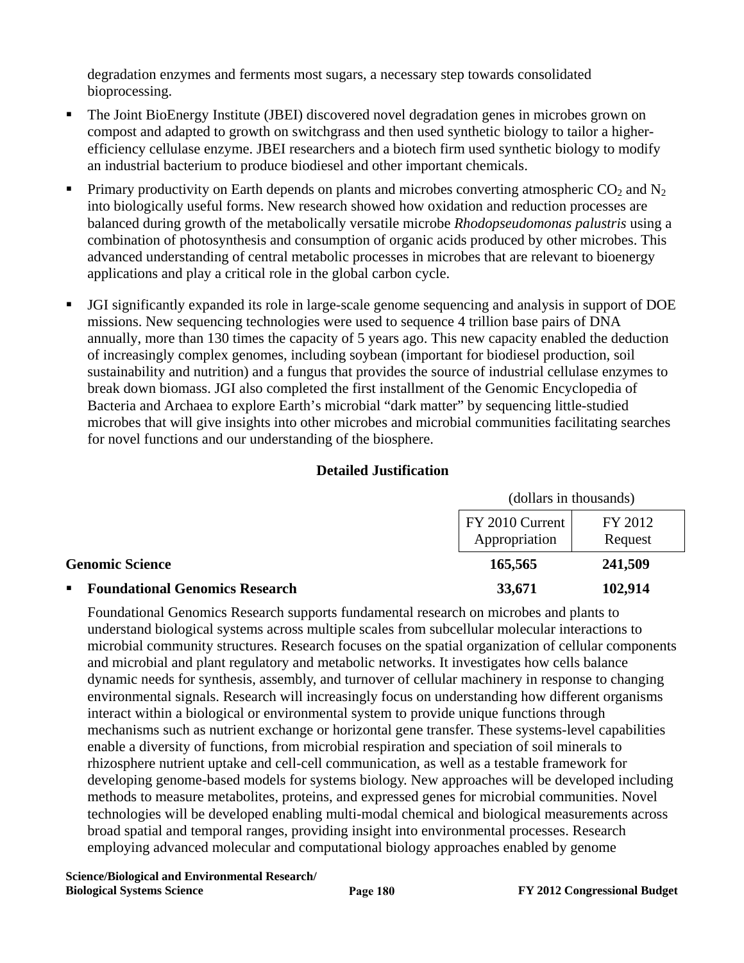degradation enzymes and ferments most sugars, a necessary step towards consolidated bioprocessing.

- The Joint BioEnergy Institute (JBEI) discovered novel degradation genes in microbes grown on compost and adapted to growth on switchgrass and then used synthetic biology to tailor a higherefficiency cellulase enzyme. JBEI researchers and a biotech firm used synthetic biology to modify an industrial bacterium to produce biodiesel and other important chemicals.
- Primary productivity on Earth depends on plants and microbes converting atmospheric  $CO_2$  and  $N_2$ into biologically useful forms. New research showed how oxidation and reduction processes are balanced during growth of the metabolically versatile microbe *Rhodopseudomonas palustris* using a combination of photosynthesis and consumption of organic acids produced by other microbes. This advanced understanding of central metabolic processes in microbes that are relevant to bioenergy applications and play a critical role in the global carbon cycle.
- JGI significantly expanded its role in large-scale genome sequencing and analysis in support of DOE missions. New sequencing technologies were used to sequence 4 trillion base pairs of DNA annually, more than 130 times the capacity of 5 years ago. This new capacity enabled the deduction of increasingly complex genomes, including soybean (important for biodiesel production, soil sustainability and nutrition) and a fungus that provides the source of industrial cellulase enzymes to break down biomass. JGI also completed the first installment of the Genomic Encyclopedia of Bacteria and Archaea to explore Earth's microbial "dark matter" by sequencing little-studied microbes that will give insights into other microbes and microbial communities facilitating searches for novel functions and our understanding of the biosphere.

### **Detailed Justification**

|                                                         | (dollars in thousands)           |                    |  |
|---------------------------------------------------------|----------------------------------|--------------------|--|
|                                                         | FY 2010 Current<br>Appropriation | FY 2012<br>Request |  |
| <b>Genomic Science</b>                                  | 165,565                          | 241,509            |  |
| <b>Foundational Genomics Research</b><br>$\blacksquare$ | 33,671                           | 102,914            |  |

Foundational Genomics Research supports fundamental research on microbes and plants to understand biological systems across multiple scales from subcellular molecular interactions to microbial community structures. Research focuses on the spatial organization of cellular components and microbial and plant regulatory and metabolic networks. It investigates how cells balance dynamic needs for synthesis, assembly, and turnover of cellular machinery in response to changing environmental signals. Research will increasingly focus on understanding how different organisms interact within a biological or environmental system to provide unique functions through mechanisms such as nutrient exchange or horizontal gene transfer. These systems-level capabilities enable a diversity of functions, from microbial respiration and speciation of soil minerals to rhizosphere nutrient uptake and cell-cell communication, as well as a testable framework for developing genome-based models for systems biology. New approaches will be developed including methods to measure metabolites, proteins, and expressed genes for microbial communities. Novel technologies will be developed enabling multi-modal chemical and biological measurements across broad spatial and temporal ranges, providing insight into environmental processes. Research employing advanced molecular and computational biology approaches enabled by genome

**Science/Biological and Environmental Research/ Biological Systems Science FY 2012 Congressional Budget**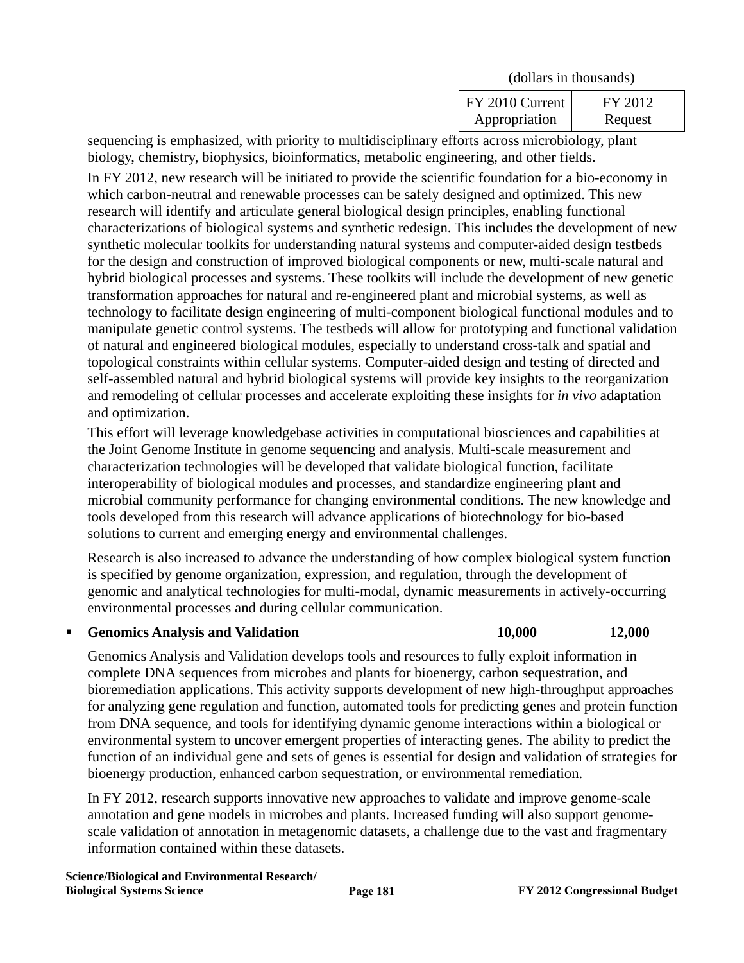| (dollars in thousands)           |                    |
|----------------------------------|--------------------|
| FY 2010 Current<br>Appropriation | FY 2012<br>Request |

sequencing is emphasized, with priority to multidisciplinary efforts across microbiology, plant biology, chemistry, biophysics, bioinformatics, metabolic engineering, and other fields.

In FY 2012, new research will be initiated to provide the scientific foundation for a bio-economy in which carbon-neutral and renewable processes can be safely designed and optimized. This new research will identify and articulate general biological design principles, enabling functional characterizations of biological systems and synthetic redesign. This includes the development of new synthetic molecular toolkits for understanding natural systems and computer-aided design testbeds for the design and construction of improved biological components or new, multi-scale natural and hybrid biological processes and systems. These toolkits will include the development of new genetic transformation approaches for natural and re-engineered plant and microbial systems, as well as technology to facilitate design engineering of multi-component biological functional modules and to manipulate genetic control systems. The testbeds will allow for prototyping and functional validation of natural and engineered biological modules, especially to understand cross-talk and spatial and topological constraints within cellular systems. Computer-aided design and testing of directed and self-assembled natural and hybrid biological systems will provide key insights to the reorganization and remodeling of cellular processes and accelerate exploiting these insights for *in vivo* adaptation and optimization.

This effort will leverage knowledgebase activities in computational biosciences and capabilities at the Joint Genome Institute in genome sequencing and analysis. Multi-scale measurement and characterization technologies will be developed that validate biological function, facilitate interoperability of biological modules and processes, and standardize engineering plant and microbial community performance for changing environmental conditions. The new knowledge and tools developed from this research will advance applications of biotechnology for bio-based solutions to current and emerging energy and environmental challenges.

Research is also increased to advance the understanding of how complex biological system function is specified by genome organization, expression, and regulation, through the development of genomic and analytical technologies for multi-modal, dynamic measurements in actively-occurring environmental processes and during cellular communication.

**Genomics Analysis and Validation 10,000 12,000** 

Genomics Analysis and Validation develops tools and resources to fully exploit information in complete DNA sequences from microbes and plants for bioenergy, carbon sequestration, and bioremediation applications. This activity supports development of new high-throughput approaches for analyzing gene regulation and function, automated tools for predicting genes and protein function from DNA sequence, and tools for identifying dynamic genome interactions within a biological or environmental system to uncover emergent properties of interacting genes. The ability to predict the function of an individual gene and sets of genes is essential for design and validation of strategies for bioenergy production, enhanced carbon sequestration, or environmental remediation.

In FY 2012, research supports innovative new approaches to validate and improve genome-scale annotation and gene models in microbes and plants. Increased funding will also support genomescale validation of annotation in metagenomic datasets, a challenge due to the vast and fragmentary information contained within these datasets.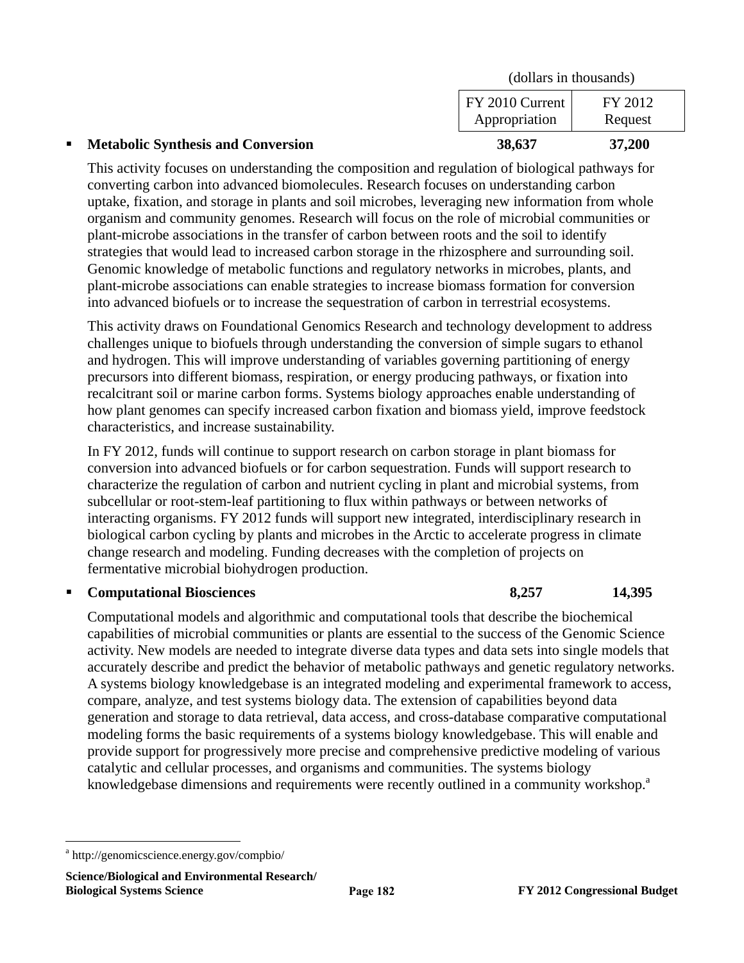| $\blacksquare$ | <b>Metabolic Synthesis and Conversion</b> | 38,637                           | 37,200             |
|----------------|-------------------------------------------|----------------------------------|--------------------|
|                |                                           | FY 2010 Current<br>Appropriation | FY 2012<br>Request |
|                |                                           | (dollars in thousands)           |                    |

This activity focuses on understanding the composition and regulation of biological pathways for converting carbon into advanced biomolecules. Research focuses on understanding carbon uptake, fixation, and storage in plants and soil microbes, leveraging new information from whole organism and community genomes. Research will focus on the role of microbial communities or plant-microbe associations in the transfer of carbon between roots and the soil to identify strategies that would lead to increased carbon storage in the rhizosphere and surrounding soil. Genomic knowledge of metabolic functions and regulatory networks in microbes, plants, and plant-microbe associations can enable strategies to increase biomass formation for conversion into advanced biofuels or to increase the sequestration of carbon in terrestrial ecosystems.

This activity draws on Foundational Genomics Research and technology development to address challenges unique to biofuels through understanding the conversion of simple sugars to ethanol and hydrogen. This will improve understanding of variables governing partitioning of energy precursors into different biomass, respiration, or energy producing pathways, or fixation into recalcitrant soil or marine carbon forms. Systems biology approaches enable understanding of how plant genomes can specify increased carbon fixation and biomass yield, improve feedstock characteristics, and increase sustainability.

In FY 2012, funds will continue to support research on carbon storage in plant biomass for conversion into advanced biofuels or for carbon sequestration. Funds will support research to characterize the regulation of carbon and nutrient cycling in plant and microbial systems, from subcellular or root-stem-leaf partitioning to flux within pathways or between networks of interacting organisms. FY 2012 funds will support new integrated, interdisciplinary research in biological carbon cycling by plants and microbes in the Arctic to accelerate progress in climate change research and modeling. Funding decreases with the completion of projects on fermentative microbial biohydrogen production.

### **Computational Biosciences 8,257 14,395**

Computational models and algorithmic and computational tools that describe the biochemical capabilities of microbial communities or plants are essential to the success of the Genomic Science activity. New models are needed to integrate diverse data types and data sets into single models that accurately describe and predict the behavior of metabolic pathways and genetic regulatory networks. A systems biology knowledgebase is an integrated modeling and experimental framework to access, compare, analyze, and test systems biology data. The extension of capabilities beyond data generation and storage to data retrieval, data access, and cross-database comparative computational modeling forms the basic requirements of a systems biology knowledgebase. This will enable and provide support for progressively more precise and comprehensive predictive modeling of various catalytic and cellular processes, and organisms and communities. The systems biology knowledgebase dimensions and requirements were recently outlined in a community workshop.<sup>a</sup>

1

a http://genomicscience.energy.gov/compbio/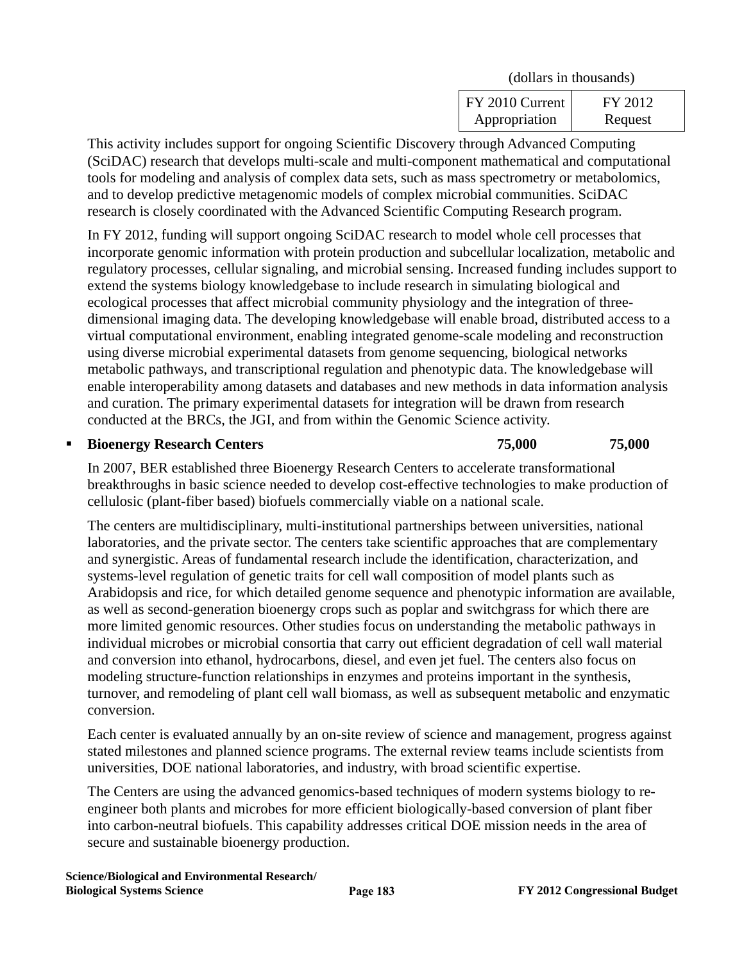| (dollars in thousands)           |                    |
|----------------------------------|--------------------|
| FY 2010 Current<br>Appropriation | FY 2012<br>Request |

This activity includes support for ongoing Scientific Discovery through Advanced Computing (SciDAC) research that develops multi-scale and multi-component mathematical and computational tools for modeling and analysis of complex data sets, such as mass spectrometry or metabolomics, and to develop predictive metagenomic models of complex microbial communities. SciDAC research is closely coordinated with the Advanced Scientific Computing Research program.

In FY 2012, funding will support ongoing SciDAC research to model whole cell processes that incorporate genomic information with protein production and subcellular localization, metabolic and regulatory processes, cellular signaling, and microbial sensing. Increased funding includes support to extend the systems biology knowledgebase to include research in simulating biological and ecological processes that affect microbial community physiology and the integration of threedimensional imaging data. The developing knowledgebase will enable broad, distributed access to a virtual computational environment, enabling integrated genome-scale modeling and reconstruction using diverse microbial experimental datasets from genome sequencing, biological networks metabolic pathways, and transcriptional regulation and phenotypic data. The knowledgebase will enable interoperability among datasets and databases and new methods in data information analysis and curation. The primary experimental datasets for integration will be drawn from research conducted at the BRCs, the JGI, and from within the Genomic Science activity.

#### **Bioenergy Research Centers 75,000 75,000 75,000**

In 2007, BER established three Bioenergy Research Centers to accelerate transformational breakthroughs in basic science needed to develop cost-effective technologies to make production of cellulosic (plant-fiber based) biofuels commercially viable on a national scale.

The centers are multidisciplinary, multi-institutional partnerships between universities, national laboratories, and the private sector. The centers take scientific approaches that are complementary and synergistic. Areas of fundamental research include the identification, characterization, and systems-level regulation of genetic traits for cell wall composition of model plants such as Arabidopsis and rice, for which detailed genome sequence and phenotypic information are available, as well as second-generation bioenergy crops such as poplar and switchgrass for which there are more limited genomic resources. Other studies focus on understanding the metabolic pathways in individual microbes or microbial consortia that carry out efficient degradation of cell wall material and conversion into ethanol, hydrocarbons, diesel, and even jet fuel. The centers also focus on modeling structure-function relationships in enzymes and proteins important in the synthesis, turnover, and remodeling of plant cell wall biomass, as well as subsequent metabolic and enzymatic conversion.

Each center is evaluated annually by an on-site review of science and management, progress against stated milestones and planned science programs. The external review teams include scientists from universities, DOE national laboratories, and industry, with broad scientific expertise.

The Centers are using the advanced genomics-based techniques of modern systems biology to reengineer both plants and microbes for more efficient biologically-based conversion of plant fiber into carbon-neutral biofuels. This capability addresses critical DOE mission needs in the area of secure and sustainable bioenergy production.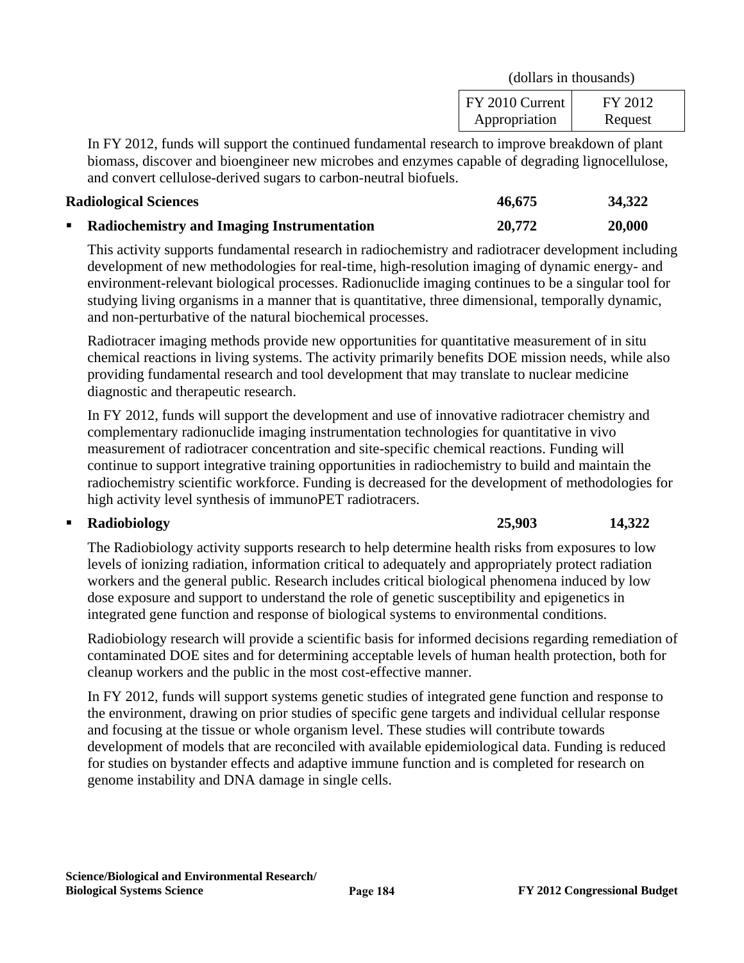| (dollars in thousands)           |                    |
|----------------------------------|--------------------|
| FY 2010 Current<br>Appropriation | FY 2012<br>Request |

In FY 2012, funds will support the continued fundamental research to improve breakdown of plant biomass, discover and bioengineer new microbes and enzymes capable of degrading lignocellulose, and convert cellulose-derived sugars to carbon-neutral biofuels.

#### **Radiological Sciences 46,675 34,322**

| diological Sciences                               | 46.675 | 34,322 |
|---------------------------------------------------|--------|--------|
| <b>Radiochemistry and Imaging Instrumentation</b> | 20,772 | 20,000 |

This activity supports fundamental research in radiochemistry and radiotracer development including development of new methodologies for real-time, high-resolution imaging of dynamic energy- and environment-relevant biological processes. Radionuclide imaging continues to be a singular tool for studying living organisms in a manner that is quantitative, three dimensional, temporally dynamic, and non-perturbative of the natural biochemical processes.

Radiotracer imaging methods provide new opportunities for quantitative measurement of in situ chemical reactions in living systems. The activity primarily benefits DOE mission needs, while also providing fundamental research and tool development that may translate to nuclear medicine diagnostic and therapeutic research.

In FY 2012, funds will support the development and use of innovative radiotracer chemistry and complementary radionuclide imaging instrumentation technologies for quantitative in vivo measurement of radiotracer concentration and site-specific chemical reactions. Funding will continue to support integrative training opportunities in radiochemistry to build and maintain the radiochemistry scientific workforce. Funding is decreased for the development of methodologies for high activity level synthesis of immunoPET radiotracers.

# **Radiobiology 25,903 14,322**

The Radiobiology activity supports research to help determine health risks from exposures to low levels of ionizing radiation, information critical to adequately and appropriately protect radiation workers and the general public. Research includes critical biological phenomena induced by low dose exposure and support to understand the role of genetic susceptibility and epigenetics in integrated gene function and response of biological systems to environmental conditions.

Radiobiology research will provide a scientific basis for informed decisions regarding remediation of contaminated DOE sites and for determining acceptable levels of human health protection, both for cleanup workers and the public in the most cost-effective manner.

In FY 2012, funds will support systems genetic studies of integrated gene function and response to the environment, drawing on prior studies of specific gene targets and individual cellular response and focusing at the tissue or whole organism level. These studies will contribute towards development of models that are reconciled with available epidemiological data. Funding is reduced for studies on bystander effects and adaptive immune function and is completed for research on genome instability and DNA damage in single cells.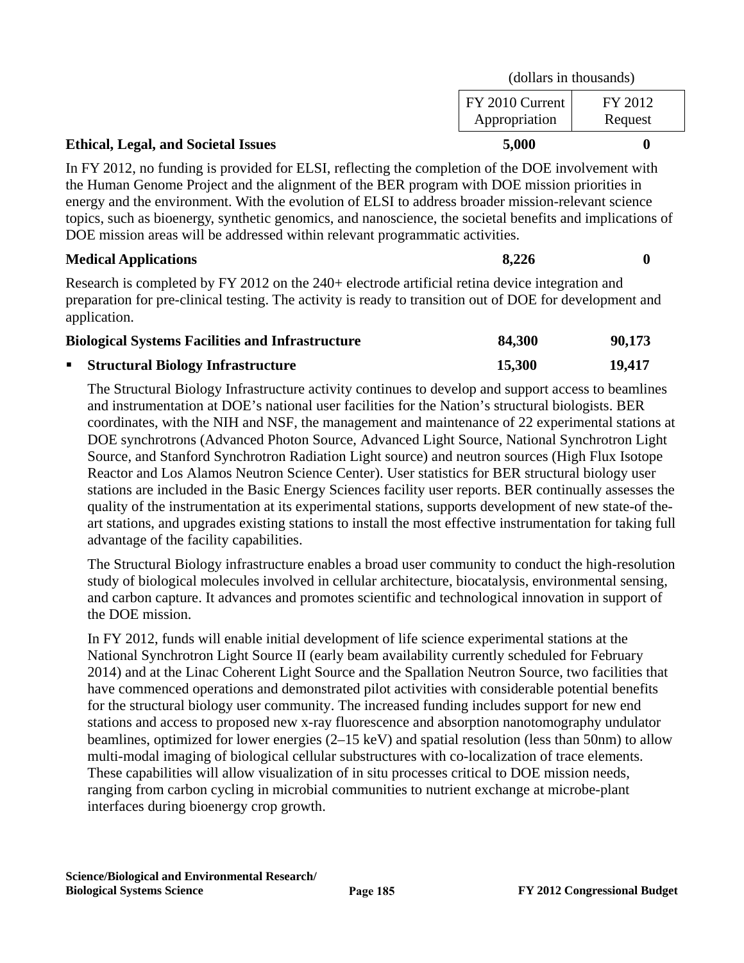|                                            | (dollars in thousands)           |                    |
|--------------------------------------------|----------------------------------|--------------------|
|                                            | FY 2010 Current<br>Appropriation | FY 2012<br>Request |
| <b>Ethical, Legal, and Societal Issues</b> | 5,000                            |                    |

In FY 2012, no funding is provided for ELSI, reflecting the completion of the DOE involvement with the Human Genome Project and the alignment of the BER program with DOE mission priorities in energy and the environment. With the evolution of ELSI to address broader mission-relevant science topics, such as bioenergy, synthetic genomics, and nanoscience, the societal benefits and implications of DOE mission areas will be addressed within relevant programmatic activities.

### **Medical Applications** 8,226 0

Research is completed by FY 2012 on the 240+ electrode artificial retina device integration and preparation for pre-clinical testing. The activity is ready to transition out of DOE for development and application.

| <b>Biological Systems Facilities and Infrastructure</b> | 84,300 | 90,173 |
|---------------------------------------------------------|--------|--------|
| • Structural Biology Infrastructure                     | 15.300 | 19,417 |

The Structural Biology Infrastructure activity continues to develop and support access to beamlines and instrumentation at DOE's national user facilities for the Nation's structural biologists. BER coordinates, with the NIH and NSF, the management and maintenance of 22 experimental stations at DOE synchrotrons (Advanced Photon Source, Advanced Light Source, National Synchrotron Light Source, and Stanford Synchrotron Radiation Light source) and neutron sources (High Flux Isotope Reactor and Los Alamos Neutron Science Center). User statistics for BER structural biology user stations are included in the Basic Energy Sciences facility user reports. BER continually assesses the quality of the instrumentation at its experimental stations, supports development of new state-of theart stations, and upgrades existing stations to install the most effective instrumentation for taking full advantage of the facility capabilities.

The Structural Biology infrastructure enables a broad user community to conduct the high-resolution study of biological molecules involved in cellular architecture, biocatalysis, environmental sensing, and carbon capture. It advances and promotes scientific and technological innovation in support of the DOE mission.

In FY 2012, funds will enable initial development of life science experimental stations at the National Synchrotron Light Source II (early beam availability currently scheduled for February 2014) and at the Linac Coherent Light Source and the Spallation Neutron Source, two facilities that have commenced operations and demonstrated pilot activities with considerable potential benefits for the structural biology user community. The increased funding includes support for new end stations and access to proposed new x-ray fluorescence and absorption nanotomography undulator beamlines, optimized for lower energies (2–15 keV) and spatial resolution (less than 50nm) to allow multi-modal imaging of biological cellular substructures with co-localization of trace elements. These capabilities will allow visualization of in situ processes critical to DOE mission needs, ranging from carbon cycling in microbial communities to nutrient exchange at microbe-plant interfaces during bioenergy crop growth.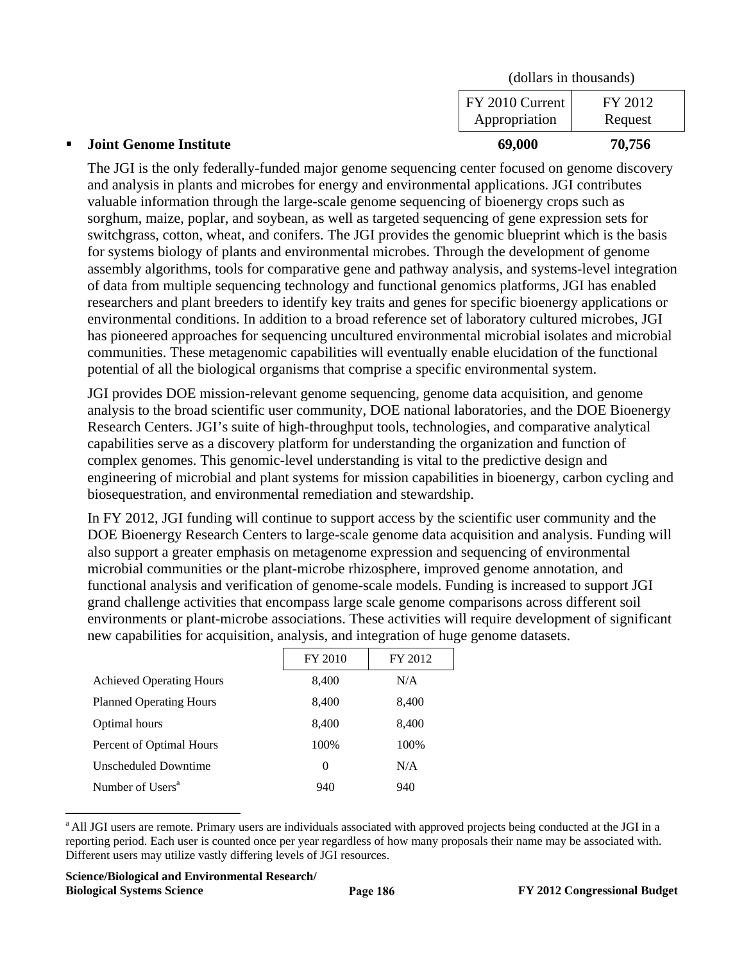| <b>Joint Genome Institute</b> | 69,000                           | 70,756             |  |
|-------------------------------|----------------------------------|--------------------|--|
|                               | FY 2010 Current<br>Appropriation | FY 2012<br>Request |  |
|                               | (dollars in thousands)           |                    |  |

The JGI is the only federally-funded major genome sequencing center focused on genome discovery and analysis in plants and microbes for energy and environmental applications. JGI contributes valuable information through the large-scale genome sequencing of bioenergy crops such as sorghum, maize, poplar, and soybean, as well as targeted sequencing of gene expression sets for switchgrass, cotton, wheat, and conifers. The JGI provides the genomic blueprint which is the basis for systems biology of plants and environmental microbes. Through the development of genome assembly algorithms, tools for comparative gene and pathway analysis, and systems-level integration of data from multiple sequencing technology and functional genomics platforms, JGI has enabled researchers and plant breeders to identify key traits and genes for specific bioenergy applications or environmental conditions. In addition to a broad reference set of laboratory cultured microbes, JGI has pioneered approaches for sequencing uncultured environmental microbial isolates and microbial communities. These metagenomic capabilities will eventually enable elucidation of the functional potential of all the biological organisms that comprise a specific environmental system.

JGI provides DOE mission-relevant genome sequencing, genome data acquisition, and genome analysis to the broad scientific user community, DOE national laboratories, and the DOE Bioenergy Research Centers. JGI's suite of high-throughput tools, technologies, and comparative analytical capabilities serve as a discovery platform for understanding the organization and function of complex genomes. This genomic-level understanding is vital to the predictive design and engineering of microbial and plant systems for mission capabilities in bioenergy, carbon cycling and biosequestration, and environmental remediation and stewardship.

In FY 2012, JGI funding will continue to support access by the scientific user community and the DOE Bioenergy Research Centers to large-scale genome data acquisition and analysis. Funding will also support a greater emphasis on metagenome expression and sequencing of environmental microbial communities or the plant-microbe rhizosphere, improved genome annotation, and functional analysis and verification of genome-scale models. Funding is increased to support JGI grand challenge activities that encompass large scale genome comparisons across different soil environments or plant-microbe associations. These activities will require development of significant new capabilities for acquisition, analysis, and integration of huge genome datasets.

|                                 | FY 2010  | FY 2012 |
|---------------------------------|----------|---------|
| <b>Achieved Operating Hours</b> | 8,400    | N/A     |
| <b>Planned Operating Hours</b>  | 8,400    | 8,400   |
| Optimal hours                   | 8,400    | 8,400   |
| Percent of Optimal Hours        | 100%     | 100%    |
| Unscheduled Downtime            | $\Omega$ | N/A     |
| Number of Users <sup>a</sup>    | 940      | 940     |

<sup>&</sup>lt;sup>a</sup> All JGI users are remote. Primary users are individuals associated with approved projects being conducted at the JGI in a reporting period. Each user is counted once per year regardless of how many proposals their name may be associated with. Different users may utilize vastly differing levels of JGI resources.

 $\overline{a}$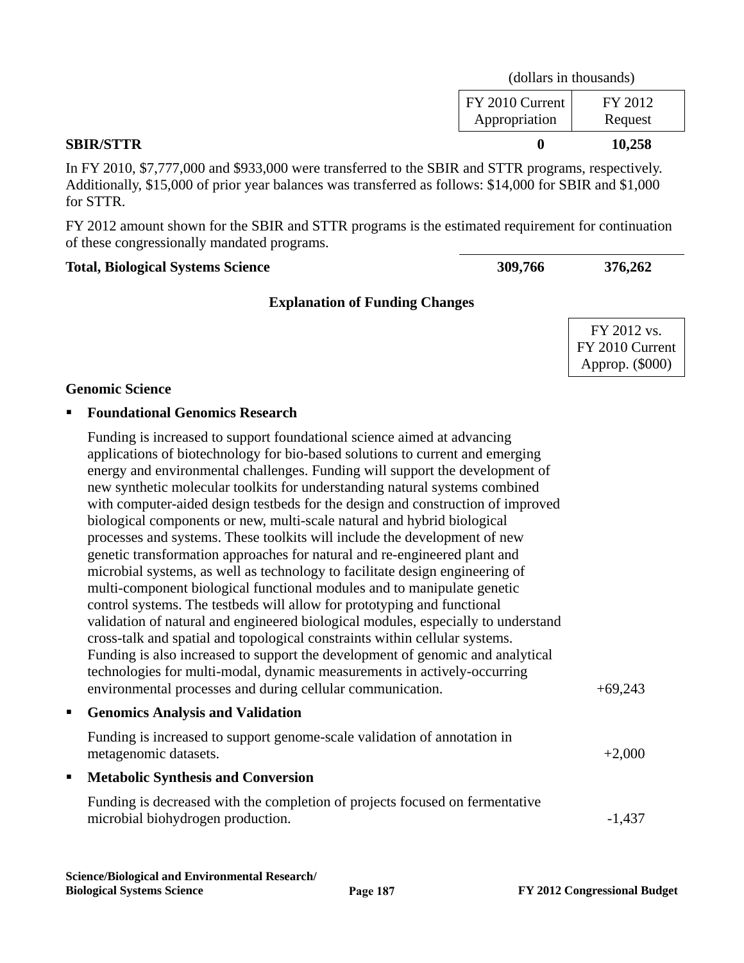| <b>SBIR/STTR</b> |                                  | 10,258                 |  |
|------------------|----------------------------------|------------------------|--|
|                  | FY 2010 Current<br>Appropriation | FY 2012<br>Request     |  |
|                  |                                  | (dollars in thousands) |  |

In FY 2010, \$7,777,000 and \$933,000 were transferred to the SBIR and STTR programs, respectively. Additionally, \$15,000 of prior year balances was transferred as follows: \$14,000 for SBIR and \$1,000 for STTR.

FY 2012 amount shown for the SBIR and STTR programs is the estimated requirement for continuation of these congressionally mandated programs.

#### **Total, Biological Systems Science 309,766 376,262**

# **Explanation of Funding Changes**

FY 2012 vs. FY 2010 Current Approp. (\$000)

#### **Genomic Science**

#### **Foundational Genomics Research**

| Funding is increased to support foundational science aimed at advancing<br>applications of biotechnology for bio-based solutions to current and emerging<br>energy and environmental challenges. Funding will support the development of<br>new synthetic molecular toolkits for understanding natural systems combined<br>with computer-aided design testbeds for the design and construction of improved<br>biological components or new, multi-scale natural and hybrid biological<br>processes and systems. These toolkits will include the development of new<br>genetic transformation approaches for natural and re-engineered plant and<br>microbial systems, as well as technology to facilitate design engineering of<br>multi-component biological functional modules and to manipulate genetic<br>control systems. The testbeds will allow for prototyping and functional<br>validation of natural and engineered biological modules, especially to understand<br>cross-talk and spatial and topological constraints within cellular systems.<br>Funding is also increased to support the development of genomic and analytical<br>technologies for multi-modal, dynamic measurements in actively-occurring<br>environmental processes and during cellular communication. | $+69,243$ |
|---------------------------------------------------------------------------------------------------------------------------------------------------------------------------------------------------------------------------------------------------------------------------------------------------------------------------------------------------------------------------------------------------------------------------------------------------------------------------------------------------------------------------------------------------------------------------------------------------------------------------------------------------------------------------------------------------------------------------------------------------------------------------------------------------------------------------------------------------------------------------------------------------------------------------------------------------------------------------------------------------------------------------------------------------------------------------------------------------------------------------------------------------------------------------------------------------------------------------------------------------------------------------------------|-----------|
| <b>Genomics Analysis and Validation</b>                                                                                                                                                                                                                                                                                                                                                                                                                                                                                                                                                                                                                                                                                                                                                                                                                                                                                                                                                                                                                                                                                                                                                                                                                                               |           |
| Funding is increased to support genome-scale validation of annotation in<br>metagenomic datasets.                                                                                                                                                                                                                                                                                                                                                                                                                                                                                                                                                                                                                                                                                                                                                                                                                                                                                                                                                                                                                                                                                                                                                                                     | $+2,000$  |
| <b>IF</b> Metabolic Synthesis and Conversion                                                                                                                                                                                                                                                                                                                                                                                                                                                                                                                                                                                                                                                                                                                                                                                                                                                                                                                                                                                                                                                                                                                                                                                                                                          |           |

Funding is decreased with the completion of projects focused on fermentative microbial biohydrogen production.  $-1,437$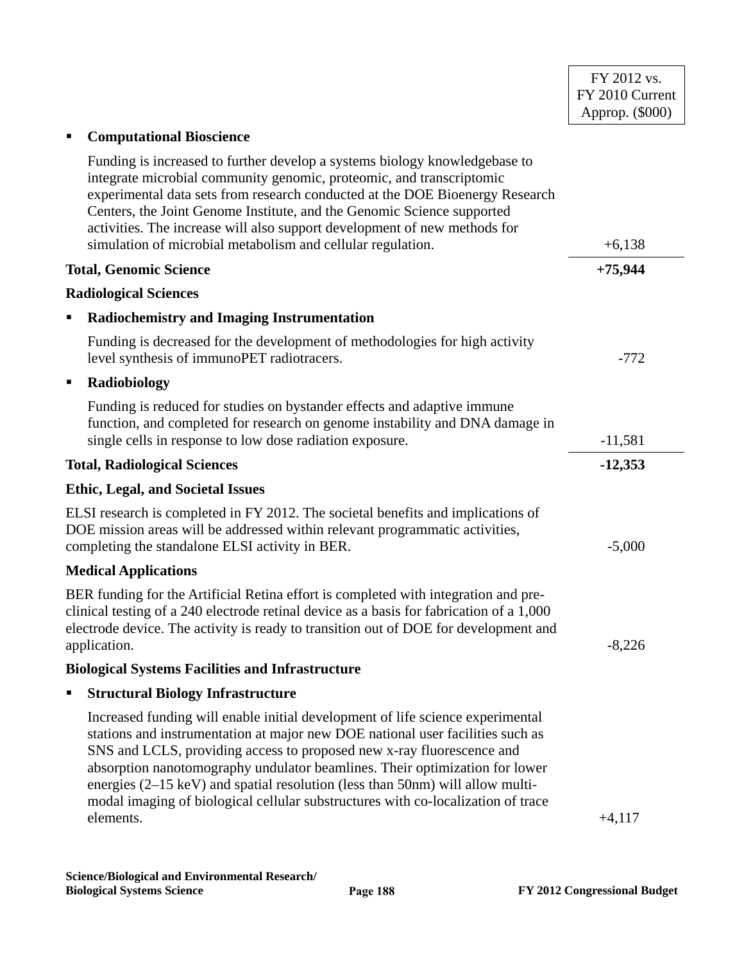| <b>Computational Bioscience</b><br>Ξ                                                                                                                                                                                                                                                                                                                                                                                                                                                                                 |           |
|----------------------------------------------------------------------------------------------------------------------------------------------------------------------------------------------------------------------------------------------------------------------------------------------------------------------------------------------------------------------------------------------------------------------------------------------------------------------------------------------------------------------|-----------|
| Funding is increased to further develop a systems biology knowledgebase to<br>integrate microbial community genomic, proteomic, and transcriptomic<br>experimental data sets from research conducted at the DOE Bioenergy Research<br>Centers, the Joint Genome Institute, and the Genomic Science supported<br>activities. The increase will also support development of new methods for<br>simulation of microbial metabolism and cellular regulation.                                                             | $+6,138$  |
| <b>Total, Genomic Science</b>                                                                                                                                                                                                                                                                                                                                                                                                                                                                                        | $+75,944$ |
| <b>Radiological Sciences</b>                                                                                                                                                                                                                                                                                                                                                                                                                                                                                         |           |
| <b>Radiochemistry and Imaging Instrumentation</b><br>Е                                                                                                                                                                                                                                                                                                                                                                                                                                                               |           |
| Funding is decreased for the development of methodologies for high activity<br>level synthesis of immunoPET radiotracers.                                                                                                                                                                                                                                                                                                                                                                                            | $-772$    |
| Radiobiology                                                                                                                                                                                                                                                                                                                                                                                                                                                                                                         |           |
| Funding is reduced for studies on bystander effects and adaptive immune<br>function, and completed for research on genome instability and DNA damage in<br>single cells in response to low dose radiation exposure.                                                                                                                                                                                                                                                                                                  | $-11,581$ |
| <b>Total, Radiological Sciences</b>                                                                                                                                                                                                                                                                                                                                                                                                                                                                                  | $-12,353$ |
| <b>Ethic, Legal, and Societal Issues</b>                                                                                                                                                                                                                                                                                                                                                                                                                                                                             |           |
| ELSI research is completed in FY 2012. The societal benefits and implications of<br>DOE mission areas will be addressed within relevant programmatic activities,<br>completing the standalone ELSI activity in BER.                                                                                                                                                                                                                                                                                                  | $-5,000$  |
| <b>Medical Applications</b>                                                                                                                                                                                                                                                                                                                                                                                                                                                                                          |           |
| BER funding for the Artificial Retina effort is completed with integration and pre-<br>clinical testing of a 240 electrode retinal device as a basis for fabrication of a 1,000<br>electrode device. The activity is ready to transition out of DOE for development and<br>application.                                                                                                                                                                                                                              | $-8,226$  |
| <b>Biological Systems Facilities and Infrastructure</b>                                                                                                                                                                                                                                                                                                                                                                                                                                                              |           |
| <b>Structural Biology Infrastructure</b>                                                                                                                                                                                                                                                                                                                                                                                                                                                                             |           |
| Increased funding will enable initial development of life science experimental<br>stations and instrumentation at major new DOE national user facilities such as<br>SNS and LCLS, providing access to proposed new x-ray fluorescence and<br>absorption nanotomography undulator beamlines. Their optimization for lower<br>energies $(2-15 \text{ keV})$ and spatial resolution (less than 50nm) will allow multi-<br>modal imaging of biological cellular substructures with co-localization of trace<br>elements. | $+4,117$  |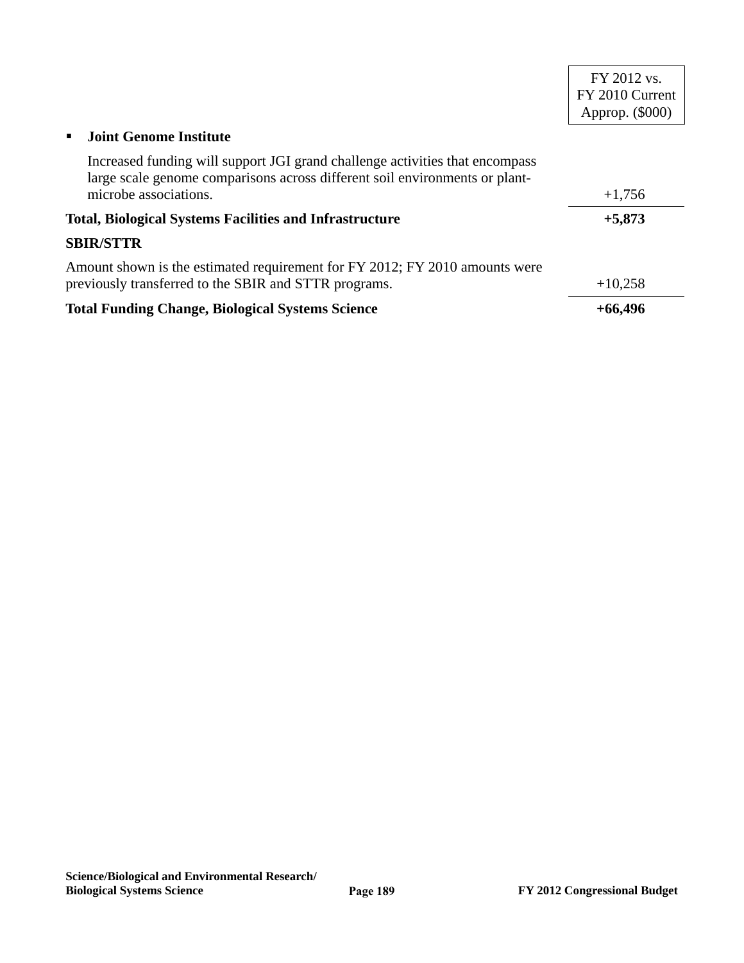|                                                                                                                                                             | FY 2012 vs.<br>FY 2010 Current<br>Approp. (\$000) |
|-------------------------------------------------------------------------------------------------------------------------------------------------------------|---------------------------------------------------|
| <b>Joint Genome Institute</b>                                                                                                                               |                                                   |
| Increased funding will support JGI grand challenge activities that encompass<br>large scale genome comparisons across different soil environments or plant- |                                                   |
| microbe associations.                                                                                                                                       | $+1,756$                                          |
| <b>Total, Biological Systems Facilities and Infrastructure</b>                                                                                              | $+5,873$                                          |
| <b>SBIR/STTR</b>                                                                                                                                            |                                                   |
| Amount shown is the estimated requirement for FY 2012; FY 2010 amounts were<br>previously transferred to the SBIR and STTR programs.                        | $+10,258$                                         |
| <b>Total Funding Change, Biological Systems Science</b>                                                                                                     | $+66,496$                                         |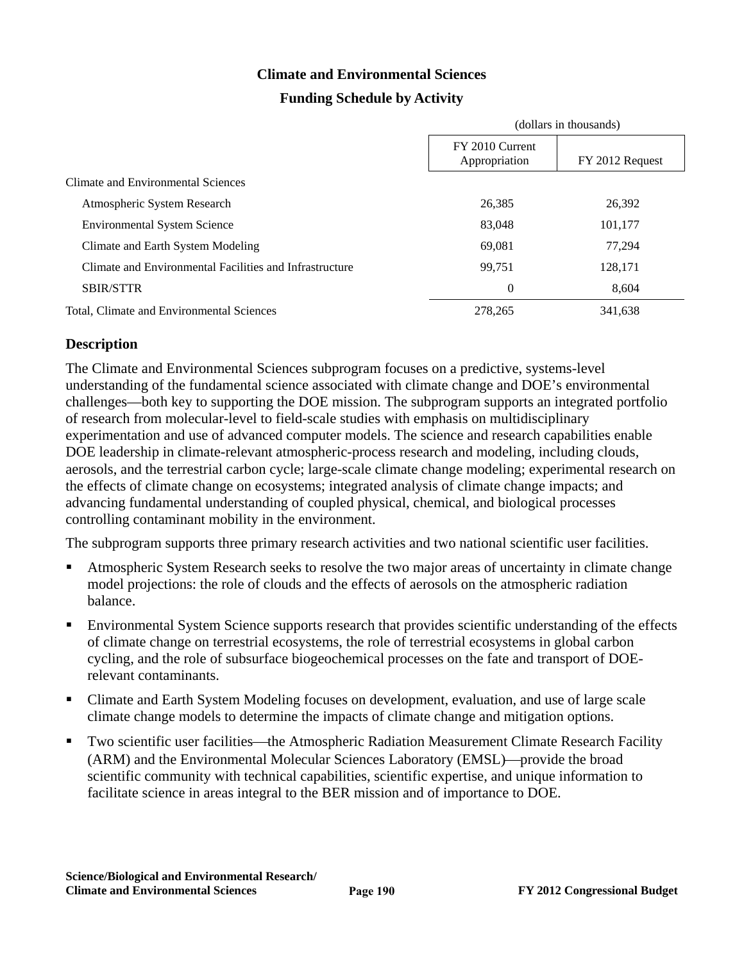# **Climate and Environmental Sciences**

# **Funding Schedule by Activity**

|                                                         | (dollars in thousands)           |                 |
|---------------------------------------------------------|----------------------------------|-----------------|
|                                                         | FY 2010 Current<br>Appropriation | FY 2012 Request |
| Climate and Environmental Sciences                      |                                  |                 |
| Atmospheric System Research                             | 26,385                           | 26,392          |
| <b>Environmental System Science</b>                     | 83,048                           | 101,177         |
| Climate and Earth System Modeling                       | 69,081                           | 77.294          |
| Climate and Environmental Facilities and Infrastructure | 99.751                           | 128,171         |
| <b>SBIR/STTR</b>                                        | $\theta$                         | 8.604           |
| Total, Climate and Environmental Sciences               | 278,265                          | 341,638         |

# **Description**

The Climate and Environmental Sciences subprogram focuses on a predictive, systems-level understanding of the fundamental science associated with climate change and DOE's environmental challenges—both key to supporting the DOE mission. The subprogram supports an integrated portfolio of research from molecular-level to field-scale studies with emphasis on multidisciplinary experimentation and use of advanced computer models. The science and research capabilities enable DOE leadership in climate-relevant atmospheric-process research and modeling, including clouds, aerosols, and the terrestrial carbon cycle; large-scale climate change modeling; experimental research on the effects of climate change on ecosystems; integrated analysis of climate change impacts; and advancing fundamental understanding of coupled physical, chemical, and biological processes controlling contaminant mobility in the environment.

The subprogram supports three primary research activities and two national scientific user facilities.

- Atmospheric System Research seeks to resolve the two major areas of uncertainty in climate change model projections: the role of clouds and the effects of aerosols on the atmospheric radiation balance.
- Environmental System Science supports research that provides scientific understanding of the effects of climate change on terrestrial ecosystems, the role of terrestrial ecosystems in global carbon cycling, and the role of subsurface biogeochemical processes on the fate and transport of DOErelevant contaminants.
- Climate and Earth System Modeling focuses on development, evaluation, and use of large scale climate change models to determine the impacts of climate change and mitigation options.
- Two scientific user facilities—the Atmospheric Radiation Measurement Climate Research Facility (ARM) and the Environmental Molecular Sciences Laboratory (EMSL)—provide the broad scientific community with technical capabilities, scientific expertise, and unique information to facilitate science in areas integral to the BER mission and of importance to DOE.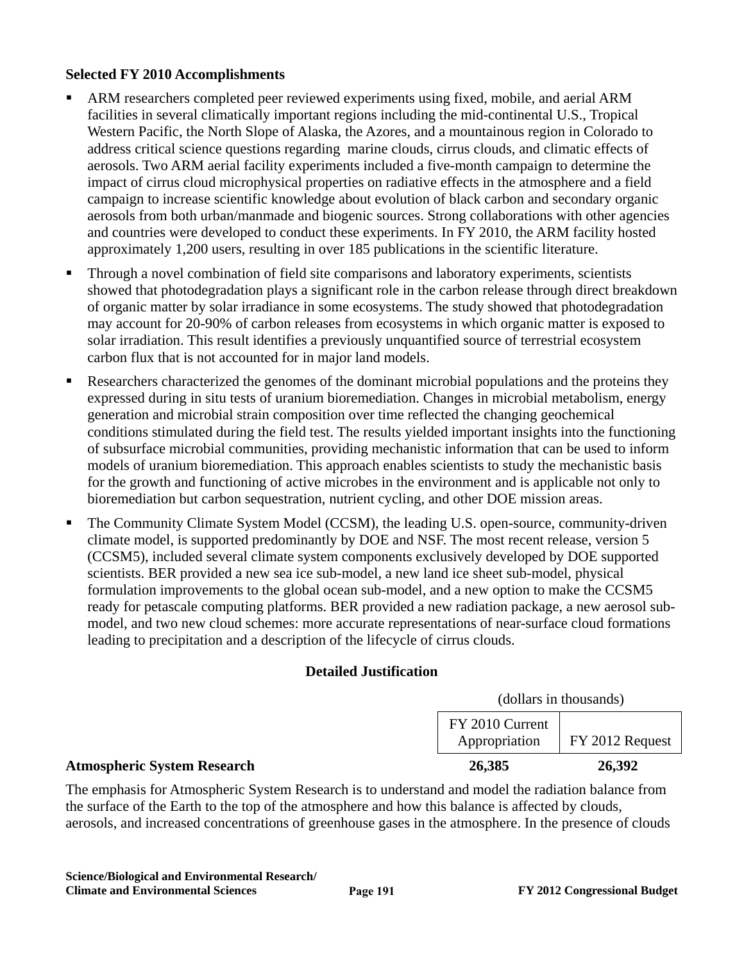### **Selected FY 2010 Accomplishments**

- ARM researchers completed peer reviewed experiments using fixed, mobile, and aerial ARM facilities in several climatically important regions including the mid-continental U.S., Tropical Western Pacific, the North Slope of Alaska, the Azores, and a mountainous region in Colorado to address critical science questions regarding marine clouds, cirrus clouds, and climatic effects of aerosols. Two ARM aerial facility experiments included a five-month campaign to determine the impact of cirrus cloud microphysical properties on radiative effects in the atmosphere and a field campaign to increase scientific knowledge about evolution of black carbon and secondary organic aerosols from both urban/manmade and biogenic sources. Strong collaborations with other agencies and countries were developed to conduct these experiments. In FY 2010, the ARM facility hosted approximately 1,200 users, resulting in over 185 publications in the scientific literature.
- Through a novel combination of field site comparisons and laboratory experiments, scientists showed that photodegradation plays a significant role in the carbon release through direct breakdown of organic matter by solar irradiance in some ecosystems. The study showed that photodegradation may account for 20-90% of carbon releases from ecosystems in which organic matter is exposed to solar irradiation. This result identifies a previously unquantified source of terrestrial ecosystem carbon flux that is not accounted for in major land models.
- Researchers characterized the genomes of the dominant microbial populations and the proteins they expressed during in situ tests of uranium bioremediation. Changes in microbial metabolism, energy generation and microbial strain composition over time reflected the changing geochemical conditions stimulated during the field test. The results yielded important insights into the functioning of subsurface microbial communities, providing mechanistic information that can be used to inform models of uranium bioremediation. This approach enables scientists to study the mechanistic basis for the growth and functioning of active microbes in the environment and is applicable not only to bioremediation but carbon sequestration, nutrient cycling, and other DOE mission areas.
- The Community Climate System Model (CCSM), the leading U.S. open-source, community-driven climate model, is supported predominantly by DOE and NSF. The most recent release, version 5 (CCSM5), included several climate system components exclusively developed by DOE supported scientists. BER provided a new sea ice sub-model, a new land ice sheet sub-model, physical formulation improvements to the global ocean sub-model, and a new option to make the CCSM5 ready for petascale computing platforms. BER provided a new radiation package, a new aerosol submodel, and two new cloud schemes: more accurate representations of near-surface cloud formations leading to precipitation and a description of the lifecycle of cirrus clouds.

# **Detailed Justification**

| <b>Atmospheric System Research</b> | 26,385                           | 26,392                 |  |
|------------------------------------|----------------------------------|------------------------|--|
|                                    | FY 2010 Current<br>Appropriation | FY 2012 Request        |  |
|                                    |                                  | (dollars in thousands) |  |

The emphasis for Atmospheric System Research is to understand and model the radiation balance from the surface of the Earth to the top of the atmosphere and how this balance is affected by clouds, aerosols, and increased concentrations of greenhouse gases in the atmosphere. In the presence of clouds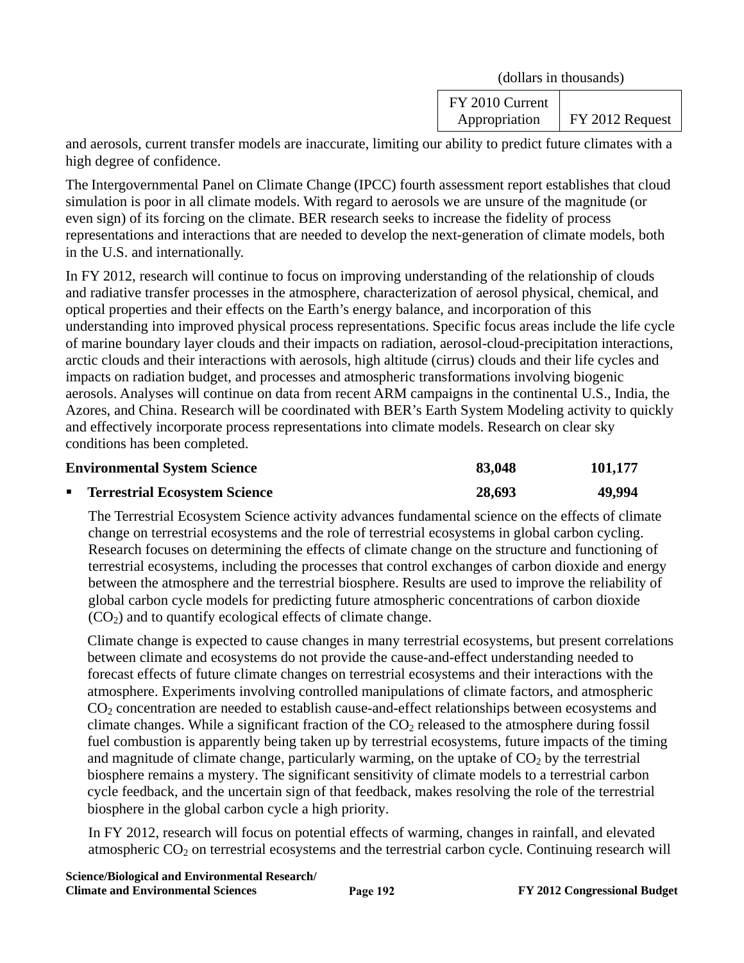(dollars in thousands)

| FY 2010 Current |                 |
|-----------------|-----------------|
| Appropriation   | FY 2012 Request |

and aerosols, current transfer models are inaccurate, limiting our ability to predict future climates with a high degree of confidence.

The Intergovernmental Panel on Climate Change (IPCC) fourth assessment report establishes that cloud simulation is poor in all climate models. With regard to aerosols we are unsure of the magnitude (or even sign) of its forcing on the climate. BER research seeks to increase the fidelity of process representations and interactions that are needed to develop the next-generation of climate models, both in the U.S. and internationally.

In FY 2012, research will continue to focus on improving understanding of the relationship of clouds and radiative transfer processes in the atmosphere, characterization of aerosol physical, chemical, and optical properties and their effects on the Earth's energy balance, and incorporation of this understanding into improved physical process representations. Specific focus areas include the life cycle of marine boundary layer clouds and their impacts on radiation, aerosol-cloud-precipitation interactions, arctic clouds and their interactions with aerosols, high altitude (cirrus) clouds and their life cycles and impacts on radiation budget, and processes and atmospheric transformations involving biogenic aerosols. Analyses will continue on data from recent ARM campaigns in the continental U.S., India, the Azores, and China. Research will be coordinated with BER's Earth System Modeling activity to quickly and effectively incorporate process representations into climate models. Research on clear sky conditions has been completed.

| <b>Environmental System Science</b> | 83,048 | 101,177 |
|-------------------------------------|--------|---------|
| ■ Terrestrial Ecosystem Science     | 28,693 | 49.994  |

The Terrestrial Ecosystem Science activity advances fundamental science on the effects of climate change on terrestrial ecosystems and the role of terrestrial ecosystems in global carbon cycling. Research focuses on determining the effects of climate change on the structure and functioning of terrestrial ecosystems, including the processes that control exchanges of carbon dioxide and energy between the atmosphere and the terrestrial biosphere. Results are used to improve the reliability of global carbon cycle models for predicting future atmospheric concentrations of carbon dioxide  $(CO<sub>2</sub>)$  and to quantify ecological effects of climate change.

Climate change is expected to cause changes in many terrestrial ecosystems, but present correlations between climate and ecosystems do not provide the cause-and-effect understanding needed to forecast effects of future climate changes on terrestrial ecosystems and their interactions with the atmosphere. Experiments involving controlled manipulations of climate factors, and atmospheric CO2 concentration are needed to establish cause-and-effect relationships between ecosystems and climate changes. While a significant fraction of the  $CO<sub>2</sub>$  released to the atmosphere during fossil fuel combustion is apparently being taken up by terrestrial ecosystems, future impacts of the timing and magnitude of climate change, particularly warming, on the uptake of  $CO<sub>2</sub>$  by the terrestrial biosphere remains a mystery. The significant sensitivity of climate models to a terrestrial carbon cycle feedback, and the uncertain sign of that feedback, makes resolving the role of the terrestrial biosphere in the global carbon cycle a high priority.

In FY 2012, research will focus on potential effects of warming, changes in rainfall, and elevated atmospheric  $CO<sub>2</sub>$  on terrestrial ecosystems and the terrestrial carbon cycle. Continuing research will

**Science/Biological and Environmental Research/ Climate and Environmental Sciences FY 2012 Congressional Budget**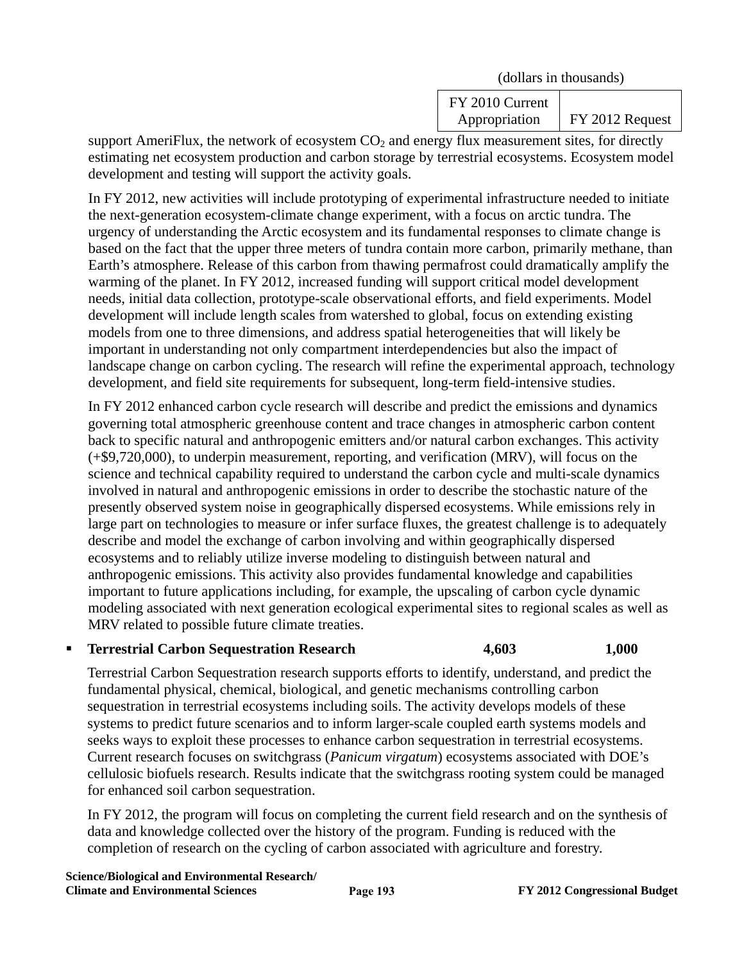(dollars in thousands)

FY 2010 Current Appropriation FY 2012 Request

support AmeriFlux, the network of ecosystem  $CO<sub>2</sub>$  and energy flux measurement sites, for directly estimating net ecosystem production and carbon storage by terrestrial ecosystems. Ecosystem model development and testing will support the activity goals.

In FY 2012, new activities will include prototyping of experimental infrastructure needed to initiate the next-generation ecosystem-climate change experiment, with a focus on arctic tundra. The urgency of understanding the Arctic ecosystem and its fundamental responses to climate change is based on the fact that the upper three meters of tundra contain more carbon, primarily methane, than Earth's atmosphere. Release of this carbon from thawing permafrost could dramatically amplify the warming of the planet. In FY 2012, increased funding will support critical model development needs, initial data collection, prototype-scale observational efforts, and field experiments. Model development will include length scales from watershed to global, focus on extending existing models from one to three dimensions, and address spatial heterogeneities that will likely be important in understanding not only compartment interdependencies but also the impact of landscape change on carbon cycling. The research will refine the experimental approach, technology development, and field site requirements for subsequent, long-term field-intensive studies.

In FY 2012 enhanced carbon cycle research will describe and predict the emissions and dynamics governing total atmospheric greenhouse content and trace changes in atmospheric carbon content back to specific natural and anthropogenic emitters and/or natural carbon exchanges. This activity (+\$9,720,000), to underpin measurement, reporting, and verification (MRV), will focus on the science and technical capability required to understand the carbon cycle and multi-scale dynamics involved in natural and anthropogenic emissions in order to describe the stochastic nature of the presently observed system noise in geographically dispersed ecosystems. While emissions rely in large part on technologies to measure or infer surface fluxes, the greatest challenge is to adequately describe and model the exchange of carbon involving and within geographically dispersed ecosystems and to reliably utilize inverse modeling to distinguish between natural and anthropogenic emissions. This activity also provides fundamental knowledge and capabilities important to future applications including, for example, the upscaling of carbon cycle dynamic modeling associated with next generation ecological experimental sites to regional scales as well as MRV related to possible future climate treaties.

**Terrestrial Carbon Sequestration Research 4,603** 1,000

Terrestrial Carbon Sequestration research supports efforts to identify, understand, and predict the fundamental physical, chemical, biological, and genetic mechanisms controlling carbon sequestration in terrestrial ecosystems including soils. The activity develops models of these systems to predict future scenarios and to inform larger-scale coupled earth systems models and seeks ways to exploit these processes to enhance carbon sequestration in terrestrial ecosystems. Current research focuses on switchgrass (*Panicum virgatum*) ecosystems associated with DOE's cellulosic biofuels research. Results indicate that the switchgrass rooting system could be managed for enhanced soil carbon sequestration.

In FY 2012, the program will focus on completing the current field research and on the synthesis of data and knowledge collected over the history of the program. Funding is reduced with the completion of research on the cycling of carbon associated with agriculture and forestry.

**Science/Biological and Environmental Research/ Climate and Environmental Sciences FY 2012 Congressional Budget**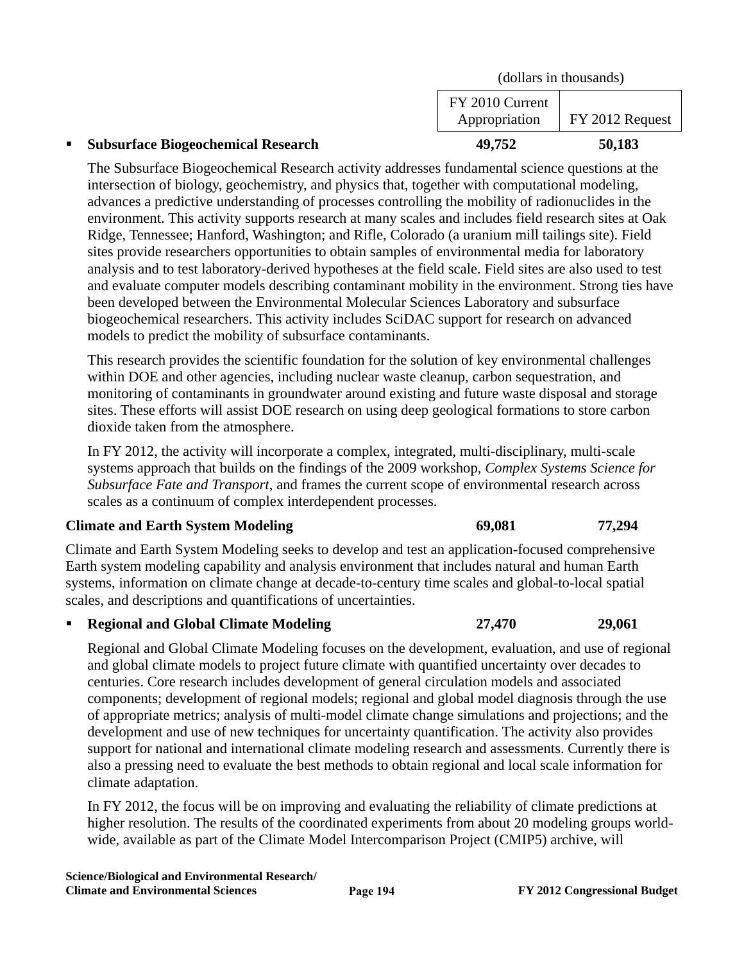| <b>Subsurface Biogeochemical Research</b> | 49.752                           | 50,183                  |
|-------------------------------------------|----------------------------------|-------------------------|
|                                           | FY 2010 Current<br>Appropriation | $\vert$ FY 2012 Request |
|                                           | (dollars in thousands)           |                         |

The Subsurface Biogeochemical Research activity addresses fundamental science questions at the intersection of biology, geochemistry, and physics that, together with computational modeling, advances a predictive understanding of processes controlling the mobility of radionuclides in the environment. This activity supports research at many scales and includes field research sites at Oak Ridge, Tennessee; Hanford, Washington; and Rifle, Colorado (a uranium mill tailings site). Field sites provide researchers opportunities to obtain samples of environmental media for laboratory analysis and to test laboratory-derived hypotheses at the field scale. Field sites are also used to test and evaluate computer models describing contaminant mobility in the environment. Strong ties have been developed between the Environmental Molecular Sciences Laboratory and subsurface biogeochemical researchers. This activity includes SciDAC support for research on advanced models to predict the mobility of subsurface contaminants.

This research provides the scientific foundation for the solution of key environmental challenges within DOE and other agencies, including nuclear waste cleanup, carbon sequestration, and monitoring of contaminants in groundwater around existing and future waste disposal and storage sites. These efforts will assist DOE research on using deep geological formations to store carbon dioxide taken from the atmosphere.

In FY 2012, the activity will incorporate a complex, integrated, multi-disciplinary, multi-scale systems approach that builds on the findings of the 2009 workshop, *Complex Systems Science for Subsurface Fate and Transport*, and frames the current scope of environmental research across scales as a continuum of complex interdependent processes.

### **Climate and Earth System Modeling 69,081 69,081 77,294**

Climate and Earth System Modeling seeks to develop and test an application-focused comprehensive Earth system modeling capability and analysis environment that includes natural and human Earth systems, information on climate change at decade-to-century time scales and global-to-local spatial scales, and descriptions and quantifications of uncertainties.

**Regional and Global Climate Modeling 27,470 29,061** 

Regional and Global Climate Modeling focuses on the development, evaluation, and use of regional and global climate models to project future climate with quantified uncertainty over decades to centuries. Core research includes development of general circulation models and associated components; development of regional models; regional and global model diagnosis through the use of appropriate metrics; analysis of multi-model climate change simulations and projections; and the development and use of new techniques for uncertainty quantification. The activity also provides support for national and international climate modeling research and assessments. Currently there is also a pressing need to evaluate the best methods to obtain regional and local scale information for climate adaptation.

In FY 2012, the focus will be on improving and evaluating the reliability of climate predictions at higher resolution. The results of the coordinated experiments from about 20 modeling groups worldwide, available as part of the Climate Model Intercomparison Project (CMIP5) archive, will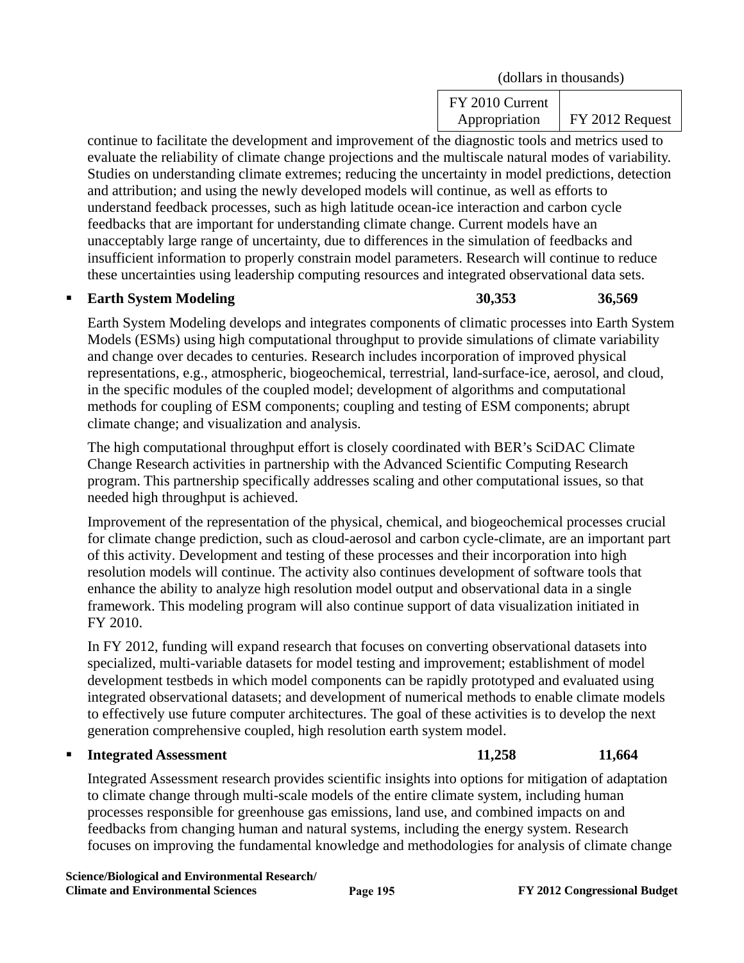(dollars in thousands)

FY 2010 Current Appropriation | FY 2012 Request

continue to facilitate the development and improvement of the diagnostic tools and metrics used to evaluate the reliability of climate change projections and the multiscale natural modes of variability. Studies on understanding climate extremes; reducing the uncertainty in model predictions, detection and attribution; and using the newly developed models will continue, as well as efforts to understand feedback processes, such as high latitude ocean-ice interaction and carbon cycle feedbacks that are important for understanding climate change. Current models have an unacceptably large range of uncertainty, due to differences in the simulation of feedbacks and insufficient information to properly constrain model parameters. Research will continue to reduce these uncertainties using leadership computing resources and integrated observational data sets.

**Earth System Modeling 30,353** 36,569

Earth System Modeling develops and integrates components of climatic processes into Earth System Models (ESMs) using high computational throughput to provide simulations of climate variability and change over decades to centuries. Research includes incorporation of improved physical representations, e.g., atmospheric, biogeochemical, terrestrial, land-surface-ice, aerosol, and cloud, in the specific modules of the coupled model; development of algorithms and computational methods for coupling of ESM components; coupling and testing of ESM components; abrupt climate change; and visualization and analysis.

The high computational throughput effort is closely coordinated with BER's SciDAC Climate Change Research activities in partnership with the Advanced Scientific Computing Research program. This partnership specifically addresses scaling and other computational issues, so that needed high throughput is achieved.

Improvement of the representation of the physical, chemical, and biogeochemical processes crucial for climate change prediction, such as cloud-aerosol and carbon cycle-climate, are an important part of this activity. Development and testing of these processes and their incorporation into high resolution models will continue. The activity also continues development of software tools that enhance the ability to analyze high resolution model output and observational data in a single framework. This modeling program will also continue support of data visualization initiated in FY 2010.

In FY 2012, funding will expand research that focuses on converting observational datasets into specialized, multi-variable datasets for model testing and improvement; establishment of model development testbeds in which model components can be rapidly prototyped and evaluated using integrated observational datasets; and development of numerical methods to enable climate models to effectively use future computer architectures. The goal of these activities is to develop the next generation comprehensive coupled, high resolution earth system model.

# **Integrated Assessment** 11,258 11,664

Integrated Assessment research provides scientific insights into options for mitigation of adaptation to climate change through multi-scale models of the entire climate system, including human processes responsible for greenhouse gas emissions, land use, and combined impacts on and feedbacks from changing human and natural systems, including the energy system. Research focuses on improving the fundamental knowledge and methodologies for analysis of climate change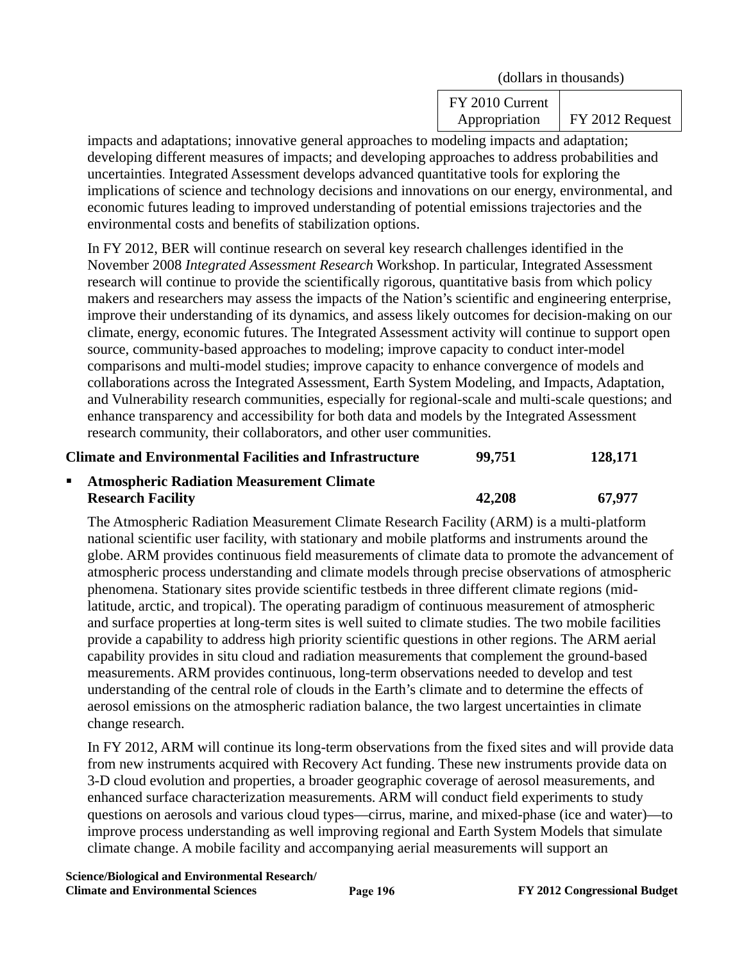(dollars in thousands)

FY 2010 Current Appropriation FY 2012 Request

impacts and adaptations; innovative general approaches to modeling impacts and adaptation; developing different measures of impacts; and developing approaches to address probabilities and uncertainties. Integrated Assessment develops advanced quantitative tools for exploring the implications of science and technology decisions and innovations on our energy, environmental, and economic futures leading to improved understanding of potential emissions trajectories and the environmental costs and benefits of stabilization options.

In FY 2012, BER will continue research on several key research challenges identified in the November 2008 *Integrated Assessment Research* Workshop. In particular, Integrated Assessment research will continue to provide the scientifically rigorous, quantitative basis from which policy makers and researchers may assess the impacts of the Nation's scientific and engineering enterprise, improve their understanding of its dynamics, and assess likely outcomes for decision-making on our climate, energy, economic futures. The Integrated Assessment activity will continue to support open source, community-based approaches to modeling; improve capacity to conduct inter-model comparisons and multi-model studies; improve capacity to enhance convergence of models and collaborations across the Integrated Assessment, Earth System Modeling, and Impacts, Adaptation, and Vulnerability research communities, especially for regional-scale and multi-scale questions; and enhance transparency and accessibility for both data and models by the Integrated Assessment research community, their collaborators, and other user communities.

# **Climate and Environmental Facilities and Infrastructure 99,751 128,171**

#### **Atmospheric Radiation Measurement Climate Research Facility 42,208 67,977**

The Atmospheric Radiation Measurement Climate Research Facility (ARM) is a multi-platform national scientific user facility, with stationary and mobile platforms and instruments around the globe. ARM provides continuous field measurements of climate data to promote the advancement of atmospheric process understanding and climate models through precise observations of atmospheric phenomena. Stationary sites provide scientific testbeds in three different climate regions (midlatitude, arctic, and tropical). The operating paradigm of continuous measurement of atmospheric and surface properties at long-term sites is well suited to climate studies. The two mobile facilities provide a capability to address high priority scientific questions in other regions. The ARM aerial capability provides in situ cloud and radiation measurements that complement the ground-based measurements. ARM provides continuous, long-term observations needed to develop and test understanding of the central role of clouds in the Earth's climate and to determine the effects of aerosol emissions on the atmospheric radiation balance, the two largest uncertainties in climate change research.

In FY 2012, ARM will continue its long-term observations from the fixed sites and will provide data from new instruments acquired with Recovery Act funding. These new instruments provide data on 3-D cloud evolution and properties, a broader geographic coverage of aerosol measurements, and enhanced surface characterization measurements. ARM will conduct field experiments to study questions on aerosols and various cloud types—cirrus, marine, and mixed-phase (ice and water)—to improve process understanding as well improving regional and Earth System Models that simulate climate change. A mobile facility and accompanying aerial measurements will support an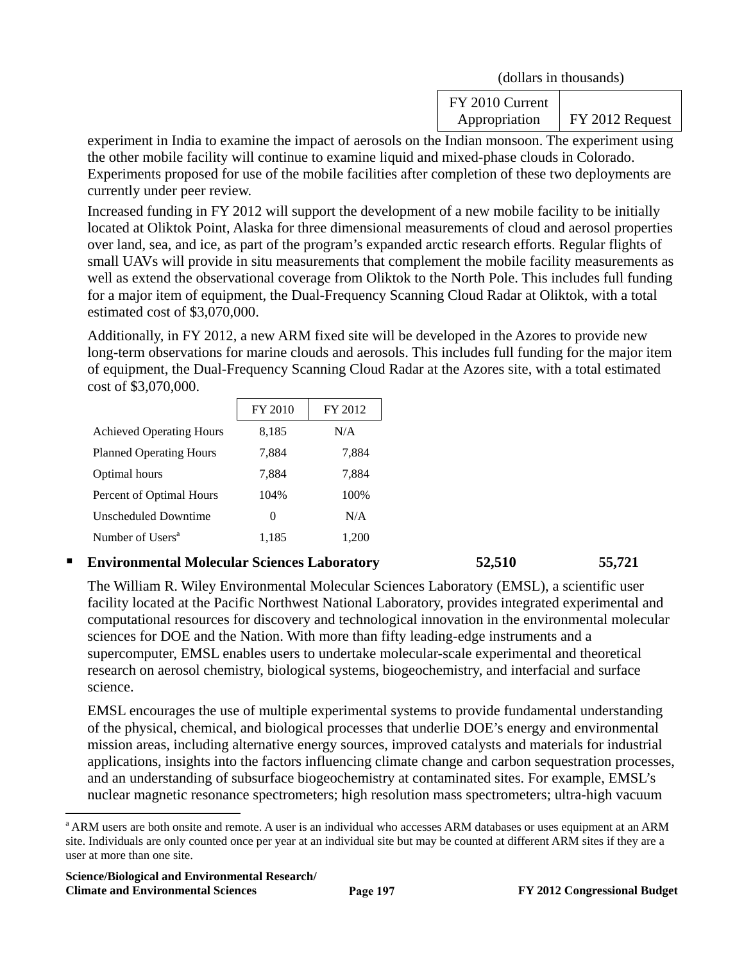|  | (dollars in thousands) |
|--|------------------------|
|--|------------------------|

| FY 2010 Current |                 |
|-----------------|-----------------|
| Appropriation   | FY 2012 Request |

experiment in India to examine the impact of aerosols on the Indian monsoon. The experiment using the other mobile facility will continue to examine liquid and mixed-phase clouds in Colorado. Experiments proposed for use of the mobile facilities after completion of these two deployments are currently under peer review.

Increased funding in FY 2012 will support the development of a new mobile facility to be initially located at Oliktok Point, Alaska for three dimensional measurements of cloud and aerosol properties over land, sea, and ice, as part of the program's expanded arctic research efforts. Regular flights of small UAVs will provide in situ measurements that complement the mobile facility measurements as well as extend the observational coverage from Oliktok to the North Pole. This includes full funding for a major item of equipment, the Dual-Frequency Scanning Cloud Radar at Oliktok, with a total estimated cost of \$3,070,000.

Additionally, in FY 2012, a new ARM fixed site will be developed in the Azores to provide new long-term observations for marine clouds and aerosols. This includes full funding for the major item of equipment, the Dual-Frequency Scanning Cloud Radar at the Azores site, with a total estimated cost of \$3,070,000.

|                                 | FY 2010  | FY 2012 |
|---------------------------------|----------|---------|
| <b>Achieved Operating Hours</b> | 8,185    | N/A     |
| <b>Planned Operating Hours</b>  | 7,884    | 7,884   |
| Optimal hours                   | 7,884    | 7,884   |
| Percent of Optimal Hours        | 104%     | 100\%   |
| Unscheduled Downtime            | $\Omega$ | N/A     |
| Number of Users <sup>a</sup>    | 1.185    |         |

### **Environmental Molecular Sciences Laboratory 52,510 55,721**

The William R. Wiley Environmental Molecular Sciences Laboratory (EMSL), a scientific user facility located at the Pacific Northwest National Laboratory, provides integrated experimental and computational resources for discovery and technological innovation in the environmental molecular sciences for DOE and the Nation. With more than fifty leading-edge instruments and a supercomputer, EMSL enables users to undertake molecular-scale experimental and theoretical research on aerosol chemistry, biological systems, biogeochemistry, and interfacial and surface science.

EMSL encourages the use of multiple experimental systems to provide fundamental understanding of the physical, chemical, and biological processes that underlie DOE's energy and environmental mission areas, including alternative energy sources, improved catalysts and materials for industrial applications, insights into the factors influencing climate change and carbon sequestration processes, and an understanding of subsurface biogeochemistry at contaminated sites. For example, EMSL's nuclear magnetic resonance spectrometers; high resolution mass spectrometers; ultra-high vacuum

 $\overline{a}$ 

<sup>&</sup>lt;sup>a</sup> ARM users are both onsite and remote. A user is an individual who accesses ARM databases or uses equipment at an ARM site. Individuals are only counted once per year at an individual site but may be counted at different ARM sites if they are a user at more than one site.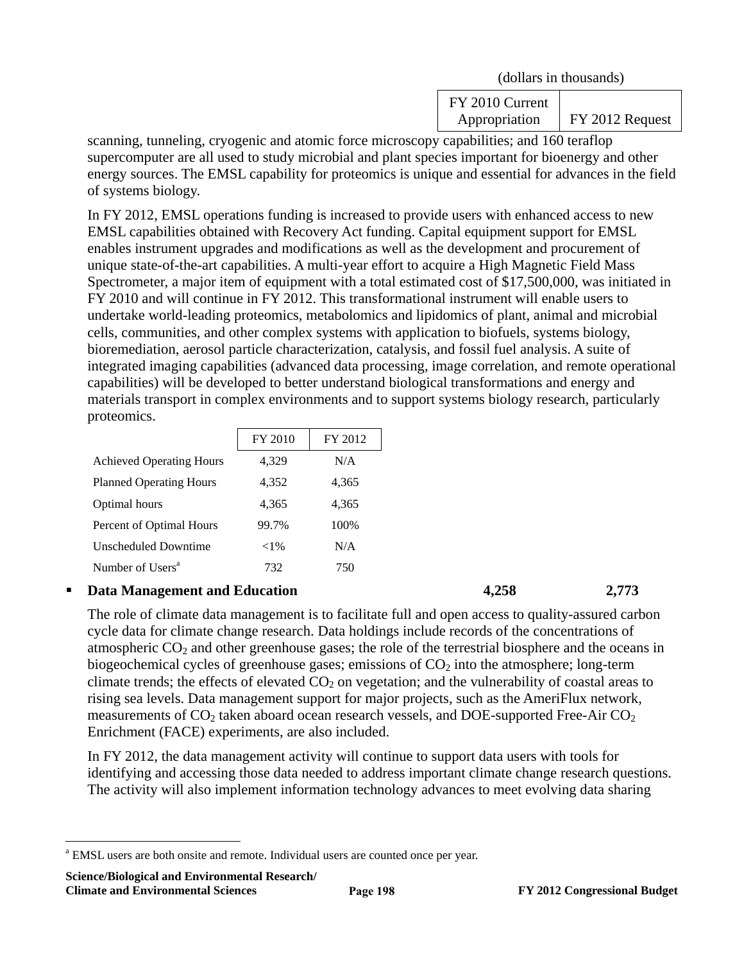(dollars in thousands)

FY 2010 Current Appropriation FY 2012 Request

scanning, tunneling, cryogenic and atomic force microscopy capabilities; and 160 teraflop supercomputer are all used to study microbial and plant species important for bioenergy and other energy sources. The EMSL capability for proteomics is unique and essential for advances in the field of systems biology.

In FY 2012, EMSL operations funding is increased to provide users with enhanced access to new EMSL capabilities obtained with Recovery Act funding. Capital equipment support for EMSL enables instrument upgrades and modifications as well as the development and procurement of unique state-of-the-art capabilities. A multi-year effort to acquire a High Magnetic Field Mass Spectrometer, a major item of equipment with a total estimated cost of \$17,500,000, was initiated in FY 2010 and will continue in FY 2012. This transformational instrument will enable users to undertake world-leading proteomics, metabolomics and lipidomics of plant, animal and microbial cells, communities, and other complex systems with application to biofuels, systems biology, bioremediation, aerosol particle characterization, catalysis, and fossil fuel analysis. A suite of integrated imaging capabilities (advanced data processing, image correlation, and remote operational capabilities) will be developed to better understand biological transformations and energy and materials transport in complex environments and to support systems biology research, particularly proteomics.

|                                 | FY 2010  | FY 2012 |
|---------------------------------|----------|---------|
| <b>Achieved Operating Hours</b> | 4,329    | N/A     |
| <b>Planned Operating Hours</b>  | 4,352    | 4,365   |
| Optimal hours                   | 4.365    | 4,365   |
| Percent of Optimal Hours        | 99.7%    | 100%    |
| Unscheduled Downtime            | ${<}1\%$ | N/A     |
| Number of Users <sup>a</sup>    | 732      | 750     |

### **Data Management and Education 4,258 2,773**

The role of climate data management is to facilitate full and open access to quality-assured carbon cycle data for climate change research. Data holdings include records of the concentrations of atmospheric  $CO<sub>2</sub>$  and other greenhouse gases; the role of the terrestrial biosphere and the oceans in biogeochemical cycles of greenhouse gases; emissions of  $CO<sub>2</sub>$  into the atmosphere; long-term climate trends; the effects of elevated  $CO<sub>2</sub>$  on vegetation; and the vulnerability of coastal areas to rising sea levels. Data management support for major projects, such as the AmeriFlux network, measurements of  $CO_2$  taken aboard ocean research vessels, and DOE-supported Free-Air  $CO_2$ Enrichment (FACE) experiments, are also included.

In FY 2012, the data management activity will continue to support data users with tools for identifying and accessing those data needed to address important climate change research questions. The activity will also implement information technology advances to meet evolving data sharing

**Science/Biological and Environmental Research/ Climate and Environmental Sciences FY 2012 Congressional Budget** 

 $\overline{a}$ 

<sup>&</sup>lt;sup>a</sup> EMSL users are both onsite and remote. Individual users are counted once per year.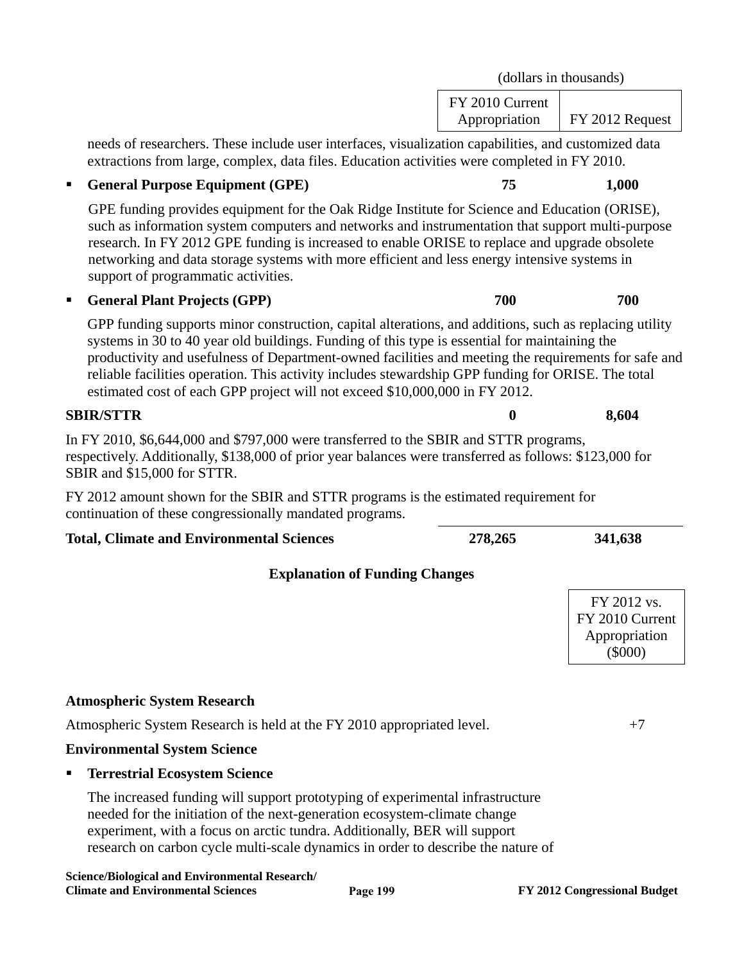| GPE funding provides equipment for the Oak Ridge Institute for Science and Education (ORISE),<br>such as information system computers and networks and instrumentation that support multi-purpose<br>research. In FY 2012 GPE funding is increased to enable ORISE to replace and upgrade obsolete<br>networking and data storage systems with more efficient and less energy intensive systems in<br>support of programmatic activities.                                                            |                                                              |  |  |
|------------------------------------------------------------------------------------------------------------------------------------------------------------------------------------------------------------------------------------------------------------------------------------------------------------------------------------------------------------------------------------------------------------------------------------------------------------------------------------------------------|--------------------------------------------------------------|--|--|
| 700<br><b>General Plant Projects (GPP)</b>                                                                                                                                                                                                                                                                                                                                                                                                                                                           | 700                                                          |  |  |
| GPP funding supports minor construction, capital alterations, and additions, such as replacing utility<br>systems in 30 to 40 year old buildings. Funding of this type is essential for maintaining the<br>productivity and usefulness of Department-owned facilities and meeting the requirements for safe and<br>reliable facilities operation. This activity includes stewardship GPP funding for ORISE. The total<br>estimated cost of each GPP project will not exceed \$10,000,000 in FY 2012. |                                                              |  |  |
| <b>SBIR/STTR</b><br>0                                                                                                                                                                                                                                                                                                                                                                                                                                                                                | 8,604                                                        |  |  |
| In FY 2010, \$6,644,000 and \$797,000 were transferred to the SBIR and STTR programs,<br>respectively. Additionally, \$138,000 of prior year balances were transferred as follows: \$123,000 for<br>SBIR and \$15,000 for STTR.                                                                                                                                                                                                                                                                      |                                                              |  |  |
| FY 2012 amount shown for the SBIR and STTR programs is the estimated requirement for<br>continuation of these congressionally mandated programs.                                                                                                                                                                                                                                                                                                                                                     |                                                              |  |  |
| 278,265<br><b>Total, Climate and Environmental Sciences</b>                                                                                                                                                                                                                                                                                                                                                                                                                                          | 341,638                                                      |  |  |
| <b>Explanation of Funding Changes</b>                                                                                                                                                                                                                                                                                                                                                                                                                                                                |                                                              |  |  |
|                                                                                                                                                                                                                                                                                                                                                                                                                                                                                                      | FY 2012 vs.<br>FY 2010 Current<br>Appropriation<br>$(\$000)$ |  |  |
| <b>Atmospheric System Research</b>                                                                                                                                                                                                                                                                                                                                                                                                                                                                   |                                                              |  |  |
| Atmospheric System Research is held at the FY 2010 appropriated level.                                                                                                                                                                                                                                                                                                                                                                                                                               | $+7$                                                         |  |  |
| <b>Environmental System Science</b>                                                                                                                                                                                                                                                                                                                                                                                                                                                                  |                                                              |  |  |
| <b>Terrestrial Ecosystem Science</b>                                                                                                                                                                                                                                                                                                                                                                                                                                                                 |                                                              |  |  |
| The increased funding will support prototyping of experimental infrastructure<br>needed for the initiation of the next-generation ecosystem-climate change<br>experiment, with a focus on arctic tundra. Additionally, BER will support<br>research on carbon cycle multi-scale dynamics in order to describe the nature of                                                                                                                                                                          |                                                              |  |  |

needs of researchers. These include user interfaces, visualization capabilities, and customized data

extractions from large, complex, data files. Education activities were completed in FY 2010. **General Purpose Equipment (GPE)** 75 1,000

(dollars in thousands)

Appropriation | FY 2012 Request

FY 2010 Current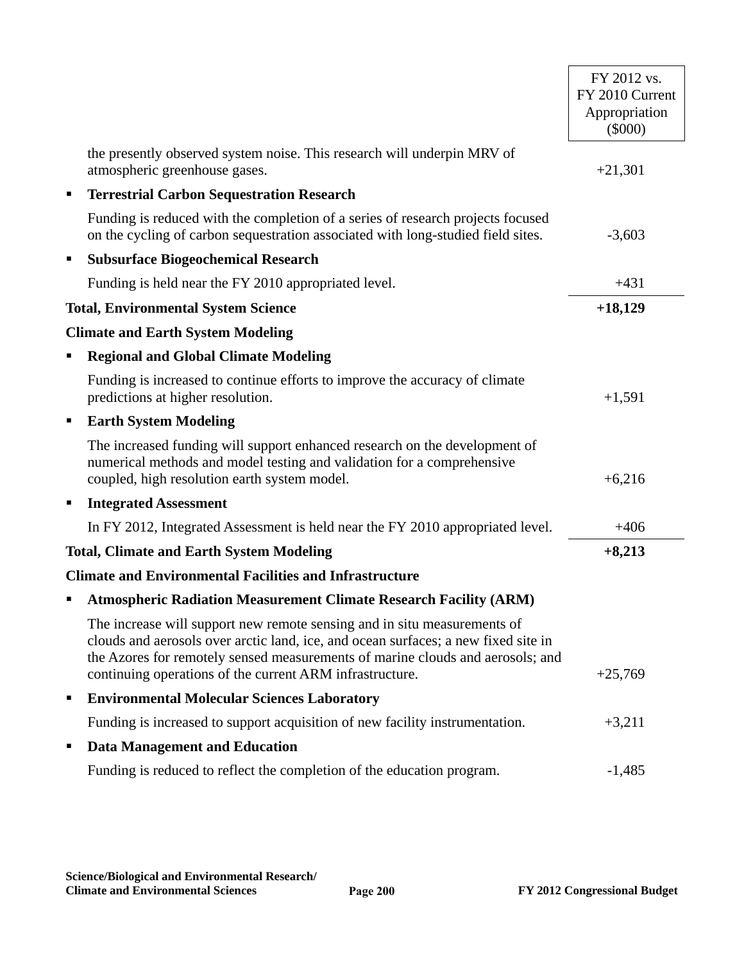|   |                                                                                                                                                                                                                                                                                                              | FY 2012 vs.<br>FY 2010 Current<br>Appropriation<br>$(\$000)$ |
|---|--------------------------------------------------------------------------------------------------------------------------------------------------------------------------------------------------------------------------------------------------------------------------------------------------------------|--------------------------------------------------------------|
|   | the presently observed system noise. This research will underpin MRV of<br>atmospheric greenhouse gases.                                                                                                                                                                                                     | $+21,301$                                                    |
| п | <b>Terrestrial Carbon Sequestration Research</b>                                                                                                                                                                                                                                                             |                                                              |
|   | Funding is reduced with the completion of a series of research projects focused<br>on the cycling of carbon sequestration associated with long-studied field sites.                                                                                                                                          | $-3,603$                                                     |
| п | <b>Subsurface Biogeochemical Research</b>                                                                                                                                                                                                                                                                    |                                                              |
|   | Funding is held near the FY 2010 appropriated level.                                                                                                                                                                                                                                                         | $+431$                                                       |
|   | <b>Total, Environmental System Science</b>                                                                                                                                                                                                                                                                   | $+18,129$                                                    |
|   | <b>Climate and Earth System Modeling</b>                                                                                                                                                                                                                                                                     |                                                              |
| п | <b>Regional and Global Climate Modeling</b>                                                                                                                                                                                                                                                                  |                                                              |
|   | Funding is increased to continue efforts to improve the accuracy of climate<br>predictions at higher resolution.                                                                                                                                                                                             | $+1,591$                                                     |
| л | <b>Earth System Modeling</b>                                                                                                                                                                                                                                                                                 |                                                              |
|   | The increased funding will support enhanced research on the development of<br>numerical methods and model testing and validation for a comprehensive<br>coupled, high resolution earth system model.                                                                                                         | $+6,216$                                                     |
| п | <b>Integrated Assessment</b>                                                                                                                                                                                                                                                                                 |                                                              |
|   | In FY 2012, Integrated Assessment is held near the FY 2010 appropriated level.                                                                                                                                                                                                                               | $+406$                                                       |
|   | <b>Total, Climate and Earth System Modeling</b>                                                                                                                                                                                                                                                              | $+8,213$                                                     |
|   | <b>Climate and Environmental Facilities and Infrastructure</b>                                                                                                                                                                                                                                               |                                                              |
|   | <b>Atmospheric Radiation Measurement Climate Research Facility (ARM)</b>                                                                                                                                                                                                                                     |                                                              |
|   | The increase will support new remote sensing and in situ measurements of<br>clouds and aerosols over arctic land, ice, and ocean surfaces; a new fixed site in<br>the Azores for remotely sensed measurements of marine clouds and aerosols; and<br>continuing operations of the current ARM infrastructure. | $+25,769$                                                    |
| п | <b>Environmental Molecular Sciences Laboratory</b>                                                                                                                                                                                                                                                           |                                                              |
|   | Funding is increased to support acquisition of new facility instrumentation.                                                                                                                                                                                                                                 | $+3,211$                                                     |
| п | <b>Data Management and Education</b>                                                                                                                                                                                                                                                                         |                                                              |
|   | Funding is reduced to reflect the completion of the education program.                                                                                                                                                                                                                                       | $-1,485$                                                     |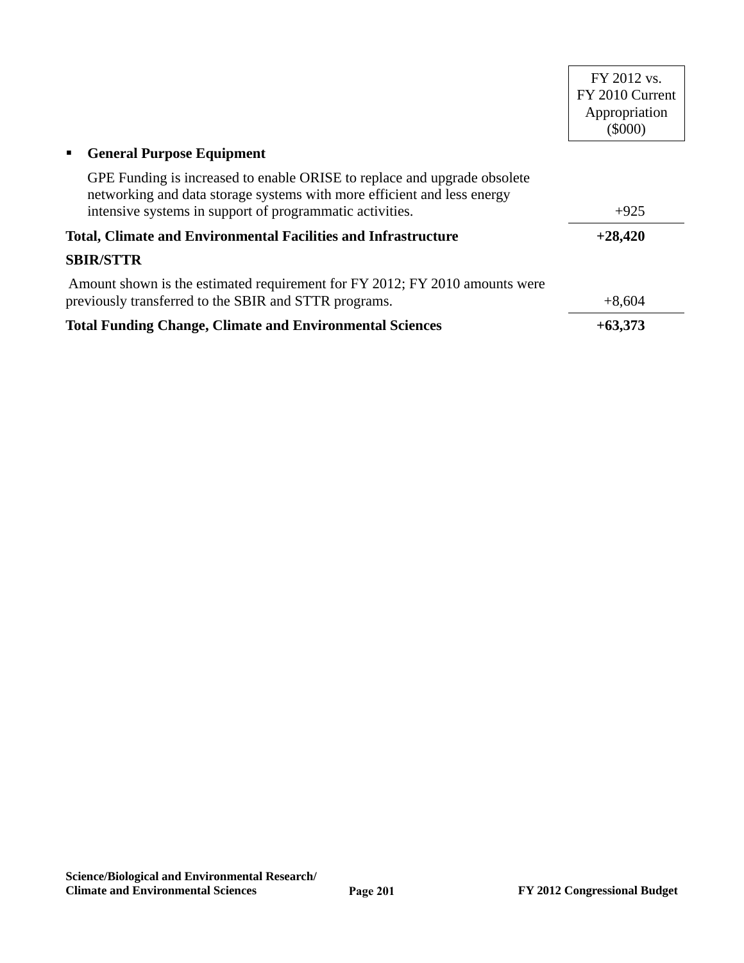|                                                                                                                                                     | FY 2012 vs.<br>FY 2010 Current<br>Appropriation |
|-----------------------------------------------------------------------------------------------------------------------------------------------------|-------------------------------------------------|
|                                                                                                                                                     | $(\$000)$                                       |
| <b>General Purpose Equipment</b><br>п                                                                                                               |                                                 |
| GPE Funding is increased to enable ORISE to replace and upgrade obsolete<br>networking and data storage systems with more efficient and less energy |                                                 |
| intensive systems in support of programmatic activities.                                                                                            | $+925$                                          |
| <b>Total, Climate and Environmental Facilities and Infrastructure</b>                                                                               | $+28,420$                                       |
| <b>SBIR/STTR</b>                                                                                                                                    |                                                 |
| Amount shown is the estimated requirement for FY 2012; FY 2010 amounts were                                                                         |                                                 |
| previously transferred to the SBIR and STTR programs.                                                                                               | $+8,604$                                        |
| <b>Total Funding Change, Climate and Environmental Sciences</b>                                                                                     | $+63,373$                                       |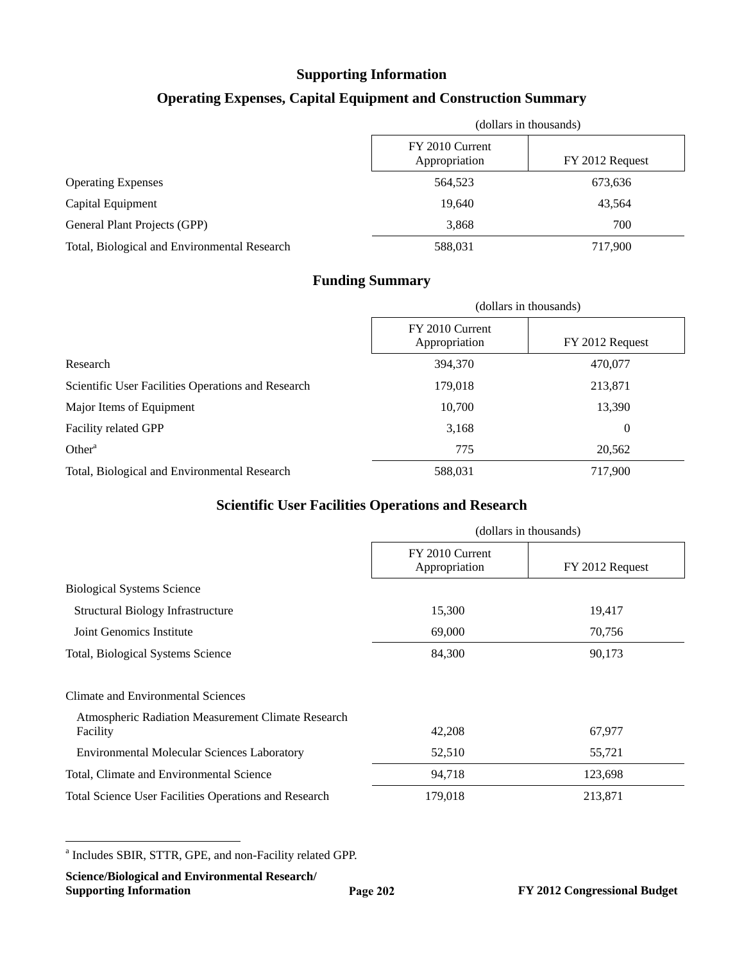# **Supporting Information**

# **Operating Expenses, Capital Equipment and Construction Summary**

|                                              | (dollars in thousands)           |                 |  |
|----------------------------------------------|----------------------------------|-----------------|--|
|                                              | FY 2010 Current<br>Appropriation | FY 2012 Request |  |
| <b>Operating Expenses</b>                    | 564,523                          | 673,636         |  |
| Capital Equipment                            | 19.640                           | 43,564          |  |
| General Plant Projects (GPP)                 | 3,868                            | 700             |  |
| Total, Biological and Environmental Research | 588,031                          | 717,900         |  |

### **Funding Summary**

|                                                    | (dollars in thousands)           |                  |
|----------------------------------------------------|----------------------------------|------------------|
|                                                    | FY 2010 Current<br>Appropriation | FY 2012 Request  |
| Research                                           | 394,370                          | 470,077          |
| Scientific User Facilities Operations and Research | 179,018                          | 213,871          |
| Major Items of Equipment                           | 10,700                           | 13,390           |
| Facility related GPP                               | 3,168                            | $\boldsymbol{0}$ |
| Other <sup>a</sup>                                 | 775                              | 20,562           |
| Total, Biological and Environmental Research       | 588,031                          | 717,900          |

# **Scientific User Facilities Operations and Research**

|                                                                | (dollars in thousands)           |                 |  |
|----------------------------------------------------------------|----------------------------------|-----------------|--|
|                                                                | FY 2010 Current<br>Appropriation | FY 2012 Request |  |
| <b>Biological Systems Science</b>                              |                                  |                 |  |
| Structural Biology Infrastructure                              | 15,300                           | 19,417          |  |
| Joint Genomics Institute                                       | 69,000                           | 70,756          |  |
| Total, Biological Systems Science                              | 84,300                           | 90,173          |  |
| Climate and Environmental Sciences                             |                                  |                 |  |
| Atmospheric Radiation Measurement Climate Research<br>Facility | 42,208                           | 67,977          |  |
| Environmental Molecular Sciences Laboratory                    | 52,510                           | 55,721          |  |
| Total, Climate and Environmental Science                       | 94,718                           | 123,698         |  |
| <b>Total Science User Facilities Operations and Research</b>   | 179,018                          | 213,871         |  |

 $\overline{a}$ a Includes SBIR, STTR, GPE, and non-Facility related GPP.

**Science/Biological and Environmental Research/**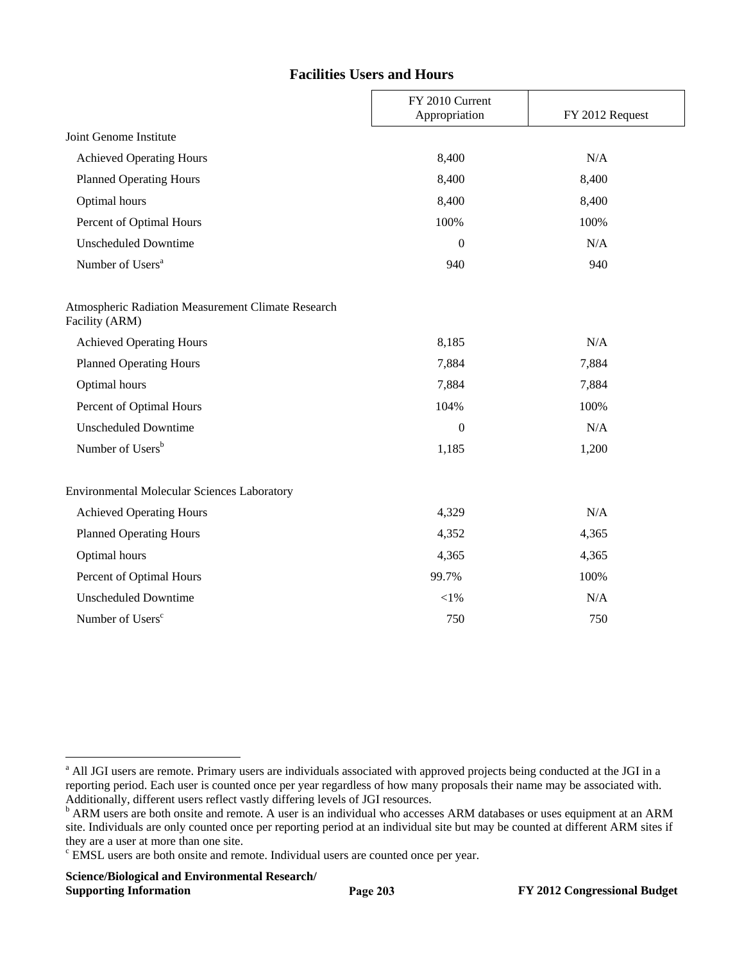#### **Facilities Users and Hours**

|                                                                      | FY 2010 Current<br>Appropriation | FY 2012 Request |
|----------------------------------------------------------------------|----------------------------------|-----------------|
| Joint Genome Institute                                               |                                  |                 |
| <b>Achieved Operating Hours</b>                                      | 8,400                            | N/A             |
| <b>Planned Operating Hours</b>                                       | 8,400                            | 8,400           |
| Optimal hours                                                        | 8,400                            | 8,400           |
| Percent of Optimal Hours                                             | 100%                             | 100%            |
| <b>Unscheduled Downtime</b>                                          | $\Omega$                         | N/A             |
| Number of Users <sup>a</sup>                                         | 940                              | 940             |
| Atmospheric Radiation Measurement Climate Research<br>Facility (ARM) |                                  |                 |
| <b>Achieved Operating Hours</b>                                      | 8,185                            | N/A             |
| <b>Planned Operating Hours</b>                                       | 7,884                            | 7,884           |
| Optimal hours                                                        | 7,884                            | 7,884           |
| Percent of Optimal Hours                                             | 104%                             | 100%            |
| <b>Unscheduled Downtime</b>                                          | $\mathbf{0}$                     | N/A             |
| Number of Users <sup>b</sup>                                         | 1,185                            | 1,200           |
| Environmental Molecular Sciences Laboratory                          |                                  |                 |
| <b>Achieved Operating Hours</b>                                      | 4,329                            | N/A             |
| <b>Planned Operating Hours</b>                                       | 4,352                            | 4,365           |
| Optimal hours                                                        | 4,365                            | 4,365           |
| Percent of Optimal Hours                                             | 99.7%                            | 100%            |
| <b>Unscheduled Downtime</b>                                          | $<\!\!1\%$                       | N/A             |
| Number of Users <sup>c</sup>                                         | 750                              | 750             |

 $\overline{a}$ 

<sup>&</sup>lt;sup>a</sup> All JGI users are remote. Primary users are individuals associated with approved projects being conducted at the JGI in a reporting period. Each user is counted once per year regardless of how many proposals their name may be associated with. Additionally, different users reflect vastly differing levels of JGI resources.<br><sup>b</sup> ARM users are both onsite and remote. A user is an individual who accesses ARM databases or uses equipment at an ARM

site. Individuals are only counted once per reporting period at an individual site but may be counted at different ARM sites if they are a user at more than one site.

<sup>&</sup>lt;sup>c</sup> EMSL users are both onsite and remote. Individual users are counted once per year.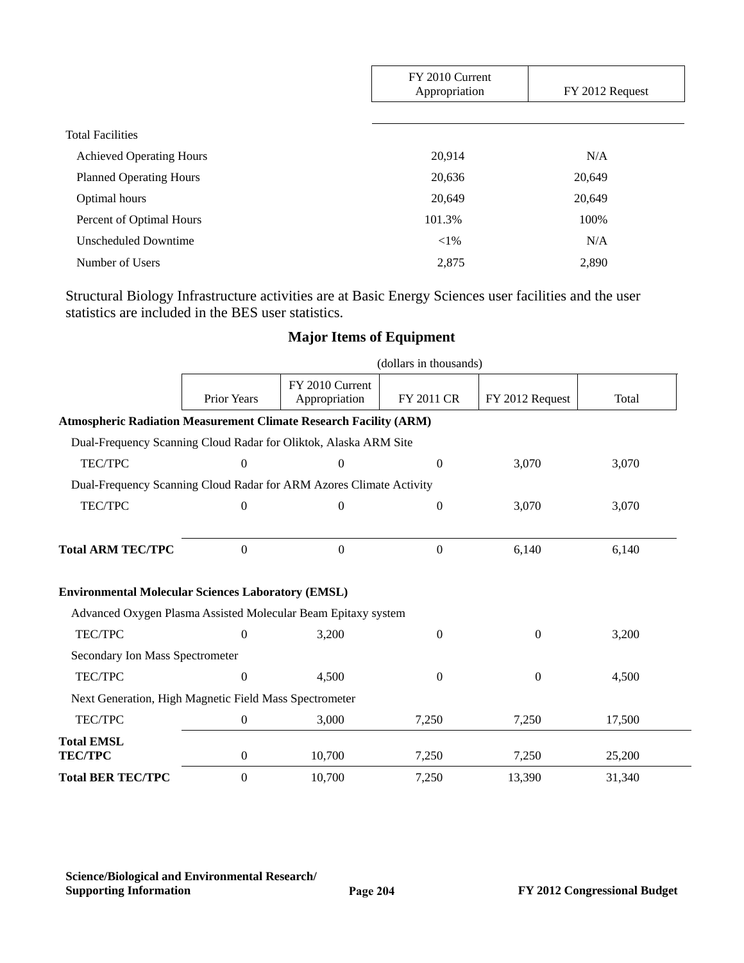|                                 | FY 2010 Current<br>Appropriation | FY 2012 Request |  |
|---------------------------------|----------------------------------|-----------------|--|
|                                 |                                  |                 |  |
| <b>Total Facilities</b>         |                                  |                 |  |
| <b>Achieved Operating Hours</b> | 20,914                           | N/A             |  |
| <b>Planned Operating Hours</b>  | 20,636                           | 20,649          |  |
| Optimal hours                   | 20,649                           | 20,649          |  |
| Percent of Optimal Hours        | 101.3%                           | 100%            |  |
| <b>Unscheduled Downtime</b>     | ${<}1\%$                         | N/A             |  |
| Number of Users                 | 2,875                            | 2,890           |  |

Structural Biology Infrastructure activities are at Basic Energy Sciences user facilities and the user statistics are included in the BES user statistics.

|                                                                          |                  |                                  | (dollars in thousands) |                  |        |
|--------------------------------------------------------------------------|------------------|----------------------------------|------------------------|------------------|--------|
|                                                                          | Prior Years      | FY 2010 Current<br>Appropriation | FY 2011 CR             | FY 2012 Request  | Total  |
| <b>Atmospheric Radiation Measurement Climate Research Facility (ARM)</b> |                  |                                  |                        |                  |        |
| Dual-Frequency Scanning Cloud Radar for Oliktok, Alaska ARM Site         |                  |                                  |                        |                  |        |
| <b>TEC/TPC</b>                                                           | $\overline{0}$   | $\mathbf{0}$                     | $\theta$               | 3,070            | 3,070  |
| Dual-Frequency Scanning Cloud Radar for ARM Azores Climate Activity      |                  |                                  |                        |                  |        |
| <b>TEC/TPC</b>                                                           | 0                | $\boldsymbol{0}$                 | $\overline{0}$         | 3,070            | 3,070  |
|                                                                          |                  |                                  |                        |                  |        |
| <b>Total ARM TEC/TPC</b>                                                 | 0                | $\mathbf{0}$                     | $\overline{0}$         | 6,140            | 6,140  |
|                                                                          |                  |                                  |                        |                  |        |
| <b>Environmental Molecular Sciences Laboratory (EMSL)</b>                |                  |                                  |                        |                  |        |
| Advanced Oxygen Plasma Assisted Molecular Beam Epitaxy system            |                  |                                  |                        |                  |        |
| TEC/TPC                                                                  | $\Omega$         | 3,200                            | $\Omega$               | $\overline{0}$   | 3,200  |
| Secondary Ion Mass Spectrometer                                          |                  |                                  |                        |                  |        |
| TEC/TPC                                                                  | $\Omega$         | 4,500                            | $\theta$               | $\boldsymbol{0}$ | 4,500  |
| Next Generation, High Magnetic Field Mass Spectrometer                   |                  |                                  |                        |                  |        |
| TEC/TPC                                                                  | 0                | 3,000                            | 7,250                  | 7,250            | 17,500 |
| <b>Total EMSL</b><br><b>TEC/TPC</b>                                      | $\boldsymbol{0}$ | 10,700                           | 7,250                  | 7,250            | 25,200 |
| <b>Total BER TEC/TPC</b>                                                 | 0                | 10,700                           | 7,250                  | 13,390           | 31,340 |

# **Major Items of Equipment**

**Science/Biological and Environmental Research/**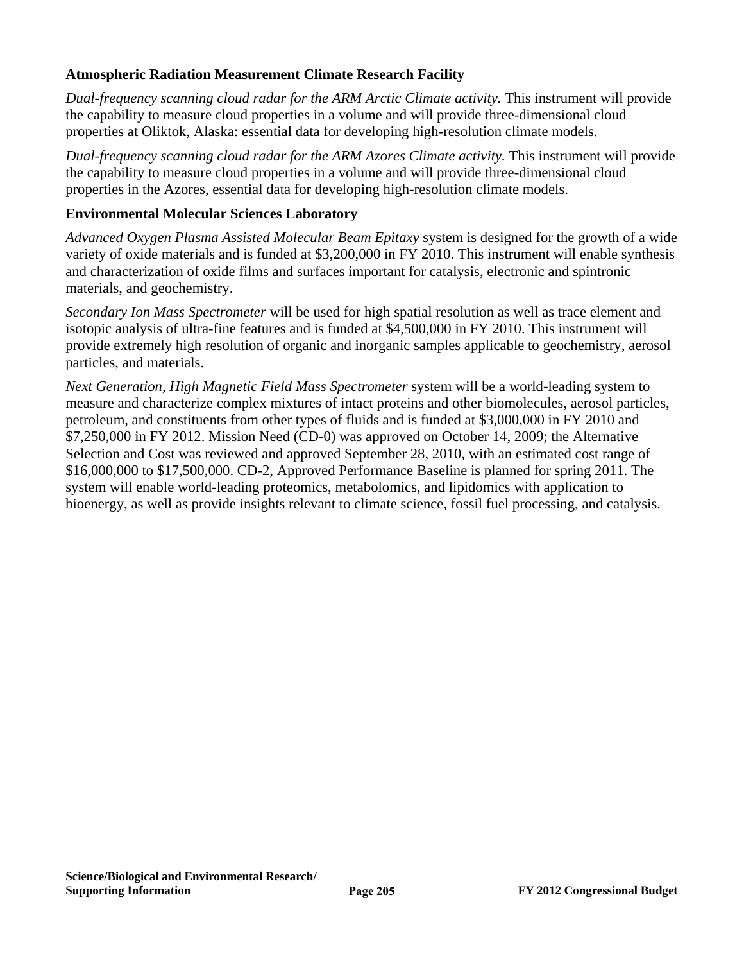# **Atmospheric Radiation Measurement Climate Research Facility**

*Dual-frequency scanning cloud radar for the ARM Arctic Climate activity.* This instrument will provide the capability to measure cloud properties in a volume and will provide three-dimensional cloud properties at Oliktok, Alaska: essential data for developing high-resolution climate models.

*Dual-frequency scanning cloud radar for the ARM Azores Climate activity.* This instrument will provide the capability to measure cloud properties in a volume and will provide three-dimensional cloud properties in the Azores, essential data for developing high-resolution climate models.

## **Environmental Molecular Sciences Laboratory**

*Advanced Oxygen Plasma Assisted Molecular Beam Epitaxy* system is designed for the growth of a wide variety of oxide materials and is funded at \$3,200,000 in FY 2010. This instrument will enable synthesis and characterization of oxide films and surfaces important for catalysis, electronic and spintronic materials, and geochemistry.

*Secondary Ion Mass Spectrometer* will be used for high spatial resolution as well as trace element and isotopic analysis of ultra-fine features and is funded at \$4,500,000 in FY 2010. This instrument will provide extremely high resolution of organic and inorganic samples applicable to geochemistry, aerosol particles, and materials.

*Next Generation, High Magnetic Field Mass Spectrometer* system will be a world-leading system to measure and characterize complex mixtures of intact proteins and other biomolecules, aerosol particles, petroleum, and constituents from other types of fluids and is funded at \$3,000,000 in FY 2010 and \$7,250,000 in FY 2012. Mission Need (CD-0) was approved on October 14, 2009; the Alternative Selection and Cost was reviewed and approved September 28, 2010, with an estimated cost range of \$16,000,000 to \$17,500,000. CD-2, Approved Performance Baseline is planned for spring 2011. The system will enable world-leading proteomics, metabolomics, and lipidomics with application to bioenergy, as well as provide insights relevant to climate science, fossil fuel processing, and catalysis.